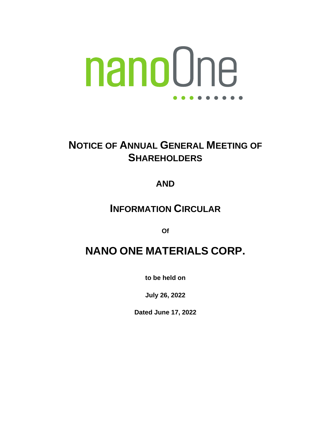# nanoOne . . . . .

## **NOTICE OF ANNUAL GENERAL MEETING OF SHAREHOLDERS**

### **AND**

### **INFORMATION CIRCULAR**

**Of**

## **NANO ONE MATERIALS CORP.**

**to be held on**

**July 26, 2022**

**Dated June 17, 2022**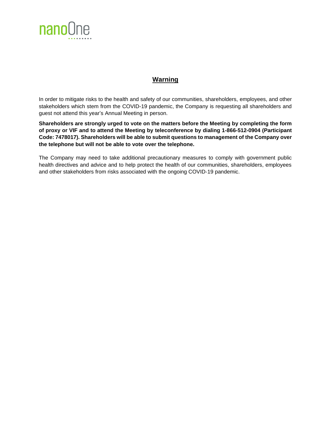

#### **Warning**

In order to mitigate risks to the health and safety of our communities, shareholders, employees, and other stakeholders which stem from the COVID-19 pandemic, the Company is requesting all shareholders and guest not attend this year's Annual Meeting in person.

**Shareholders are strongly urged to vote on the matters before the Meeting by completing the form of proxy or VIF and to attend the Meeting by teleconference by dialing 1-866-512-0904 (Participant Code: 7478017). Shareholders will be able to submit questions to management of the Company over the telephone but will not be able to vote over the telephone.** 

The Company may need to take additional precautionary measures to comply with government public health directives and advice and to help protect the health of our communities, shareholders, employees and other stakeholders from risks associated with the ongoing COVID‐19 pandemic.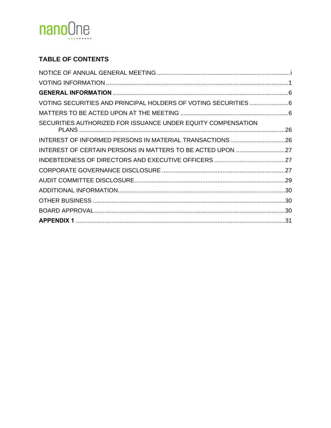

### **TABLE OF CONTENTS**

| SECURITIES AUTHORIZED FOR ISSUANCE UNDER EQUITY COMPENSATION |  |
|--------------------------------------------------------------|--|
|                                                              |  |
| INTEREST OF CERTAIN PERSONS IN MATTERS TO BE ACTED UPON 27   |  |
|                                                              |  |
|                                                              |  |
|                                                              |  |
|                                                              |  |
|                                                              |  |
|                                                              |  |
|                                                              |  |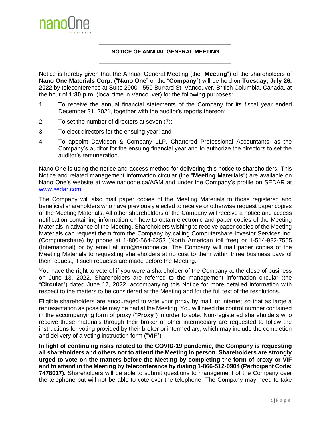

#### **\_\_\_\_\_\_\_\_\_\_\_\_\_\_\_\_\_\_\_\_\_\_\_\_\_\_\_\_\_\_\_\_\_\_\_\_\_\_\_\_\_\_\_\_ NOTICE OF ANNUAL GENERAL MEETING \_\_\_\_\_\_\_\_\_\_\_\_\_\_\_\_\_\_\_\_\_\_\_\_\_\_\_\_\_\_\_\_\_\_\_\_\_\_\_\_\_\_\_\_**

<span id="page-3-0"></span>Notice is hereby given that the Annual General Meeting (the "**Meeting**") of the shareholders of **Nano One Materials Corp.** ("**Nano One**" or the "**Company**") will be held on **Tuesday, July 26, 2022** by teleconference at Suite 2900 - 550 Burrard St, Vancouver, British Columbia, Canada, at the hour of **1:30 p.m**. (local time in Vancouver) for the following purposes:

- 1. To receive the annual financial statements of the Company for its fiscal year ended December 31, 2021, together with the auditor's reports thereon;
- 2. To set the number of directors at seven (7);
- 3. To elect directors for the ensuing year; and
- 4. To appoint Davidson & Company LLP, Chartered Professional Accountants, as the Company's auditor for the ensuing financial year and to authorize the directors to set the auditor's remuneration.

Nano One is using the notice and access method for delivering this notice to shareholders. This Notice and related management information circular (the "**Meeting Materials**") are available on Nano One's website at www.nanoone.ca/AGM and under the Company's profile on SEDAR at [www.sedar.com.](http://www.sedar.com/)

The Company will also mail paper copies of the Meeting Materials to those registered and beneficial shareholders who have previously elected to receive or otherwise request paper copies of the Meeting Materials. All other shareholders of the Company will receive a notice and access notification containing information on how to obtain electronic and paper copies of the Meeting Materials in advance of the Meeting. Shareholders wishing to receive paper copies of the Meeting Materials can request them from the Company by calling Computershare Investor Services Inc. (Computershare) by phone at 1-800-564-6253 (North American toll free) or 1-514-982-7555 (International) or by email at info@nanoone.ca. The Company will mail paper copies of the Meeting Materials to requesting shareholders at no cost to them within three business days of their request, if such requests are made before the Meeting.

You have the right to vote of if you were a shareholder of the Company at the close of business on June 13, 2022. Shareholders are referred to the management information circular (the "**Circular**") dated June 17, 2022, accompanying this Notice for more detailed information with respect to the matters to be considered at the Meeting and for the full text of the resolutions.

Eligible shareholders are encouraged to vote your proxy by mail, or internet so that as large a representation as possible may be had at the Meeting. You will need the control number contained in the accompanying form of proxy ("**Proxy**") in order to vote. Non-registered shareholders who receive these materials through their broker or other intermediary are requested to follow the instructions for voting provided by their broker or intermediary, which may include the completion and delivery of a voting instruction form ("**VIF**").

**In light of continuing risks related to the COVID-19 pandemic, the Company is requesting all shareholders and others not to attend the Meeting in person. Shareholders are strongly urged to vote on the matters before the Meeting by completing the form of proxy or VIF and to attend in the Meeting by teleconference by dialing 1-866-512-0904 (Participant Code: 7478017).** Shareholders will be able to submit questions to management of the Company over the telephone but will not be able to vote over the telephone. The Company may need to take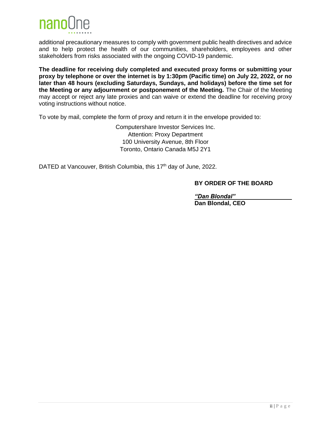

additional precautionary measures to comply with government public health directives and advice and to help protect the health of our communities, shareholders, employees and other stakeholders from risks associated with the ongoing COVID-19 pandemic.

**The deadline for receiving duly completed and executed proxy forms or submitting your proxy by telephone or over the internet is by 1:30pm (Pacific time) on July 22, 2022, or no later than 48 hours (excluding Saturdays, Sundays, and holidays) before the time set for the Meeting or any adjournment or postponement of the Meeting.** The Chair of the Meeting may accept or reject any late proxies and can waive or extend the deadline for receiving proxy voting instructions without notice.

To vote by mail, complete the form of proxy and return it in the envelope provided to:

Computershare Investor Services Inc. Attention: Proxy Department 100 University Avenue, 8th Floor Toronto, Ontario Canada M5J 2Y1

DATED at Vancouver, British Columbia, this 17<sup>th</sup> day of June, 2022.

#### **BY ORDER OF THE BOARD**

*"Dan Blondal"* **Dan Blondal, CEO**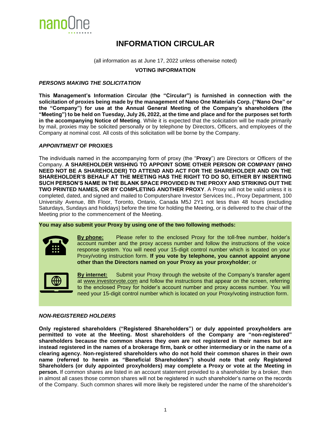

### **INFORMATION CIRCULAR**

(all information as at June 17, 2022 unless otherwise noted)

**VOTING INFORMATION**

#### <span id="page-5-0"></span>*PERSONS MAKING THE SOLICITATION*

**This Management's Information Circular (the "Circular") is furnished in connection with the solicitation of proxies being made by the management of Nano One Materials Corp. ("Nano One" or the "Company") for use at the Annual General Meeting of the Company's shareholders (the "Meeting") to be held on Tuesday, July 26, 2022, at the time and place and for the purposes set forth in the accompanying Notice of Meeting**. While it is expected that the solicitation will be made primarily by mail, proxies may be solicited personally or by telephone by Directors, Officers, and employees of the Company at nominal cost. All costs of this solicitation will be borne by the Company.

#### *APPOINTMENT* **OF PROXIES**

The individuals named in the accompanying form of proxy (the "**Proxy**") are Directors or Officers of the Company. **A SHAREHOLDER WISHING TO APPOINT SOME OTHER PERSON OR COMPANY (WHO NEED NOT BE A SHAREHOLDER) TO ATTEND AND ACT FOR THE SHAREHOLDER AND ON THE SHAREHOLDER'S BEHALF AT THE MEETING HAS THE RIGHT TO DO SO, EITHER BY INSERTING SUCH PERSON'S NAME IN THE BLANK SPACE PROVIDED IN THE PROXY AND STRIKING OUT THE TWO PRINTED NAMES, OR BY COMPLETING ANOTHER PROXY**. A Proxy will not be valid unless it is completed, dated, and signed and mailed to Computershare Investor Services Inc., Proxy Department, 100 University Avenue, 8th Floor, Toronto, Ontario, Canada M5J 2Y1 not less than 48 hours (excluding Saturdays, Sundays and holidays) before the time for holding the Meeting, or is delivered to the chair of the Meeting prior to the commencement of the Meeting.

#### **You may also submit your Proxy by using one of the two following methods:**



**By phone:** Please refer to the enclosed Proxy for the toll-free number, holder's account number and the proxy access number and follow the instructions of the voice response system. You will need your 15-digit control number which is located on your Proxy/voting instruction form. **If you vote by telephone, you cannot appoint anyone other than the Directors named on your Proxy as your proxyholder**; or



**By internet:** Submit your Proxy through the website of the Company's transfer agent at www.investorvote.com and follow the instructions that appear on the screen, referring to the enclosed Proxy for holder's account number and proxy access number. You will need your 15-digit control number which is located on your Proxy/voting instruction form.

#### *NON-REGISTERED HOLDERS*

**Only registered shareholders ("Registered Shareholders") or duly appointed proxyholders are permitted to vote at the Meeting. Most shareholders of the Company are "non-registered" shareholders because the common shares they own are not registered in their names but are instead registered in the names of a brokerage firm, bank or other intermediary or in the name of a clearing agency. Non-registered shareholders who do not hold their common shares in their own name (referred to herein as "Beneficial Shareholders") should note that only Registered Shareholders (or duly appointed proxyholders) may complete a Proxy or vote at the Meeting in person.** If common shares are listed in an account statement provided to a shareholder by a broker, then in almost all cases those common shares will not be registered in such shareholder's name on the records of the Company. Such common shares will more likely be registered under the name of the shareholder's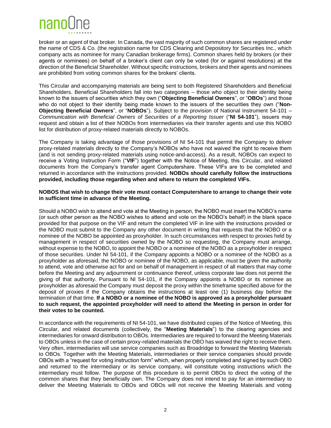

broker or an agent of that broker. In Canada, the vast majority of such common shares are registered under the name of CDS & Co. (the registration name for CDS Clearing and Depository for Securities Inc., which company acts as nominee for many Canadian brokerage firms). Common shares held by brokers (or their agents or nominees) on behalf of a broker's client can only be voted (for or against resolutions) at the direction of the Beneficial Shareholder. Without specific instructions, brokers and their agents and nominees are prohibited from voting common shares for the brokers' clients.

This Circular and accompanying materials are being sent to both Registered Shareholders and Beneficial Shareholders. Beneficial Shareholders fall into two categories – those who object to their identity being known to the issuers of securities which they own ("**Objecting Beneficial Owners**", or "**OBOs**") and those who do not object to their identity being made known to the issuers of the securities they own ("**Non-Objecting Beneficial Owners**", or "**NOBOs**"). Subject to the provision of National Instrument 54-101 – *Communication with Beneficial Owners of Securities of a Reporting Issuer* ("**NI 54-101**"), issuers may request and obtain a list of their NOBOs from intermediaries via their transfer agents and use this NOBO list for distribution of proxy-related materials directly to NOBOs.

The Company is taking advantage of those provisions of NI 54-101 that permit the Company to deliver proxy-related materials directly to the Company's NOBOs who have not waived the right to receive them (and is not sending proxy-related materials using notice-and-access). As a result, NOBOs can expect to receive a Voting Instruction Form ("**VIF**") together with the Notice of Meeting, this Circular, and related documents from the Company's transfer agent Computershare. These VIFs are to be completed and returned in accordance with the instructions provided. **NOBOs should carefully follow the instructions provided, including those regarding when and where to return the completed VIFs.**

#### **NOBOS that wish to change their vote must contact Computershare to arrange to change their vote in sufficient time in advance of the Meeting.**

Should a NOBO wish to attend and vote at the Meeting in person, the NOBO must insert the NOBO's name (or such other person as the NOBO wishes to attend and vote on the NOBO's behalf) in the blank space provided for that purpose on the VIF and return the completed VIF in line with the instructions provided or the NOBO must submit to the Company any other document in writing that requests that the NOBO or a nominee of the NOBO be appointed as proxyholder. In such circumstances with respect to proxies held by management in respect of securities owned by the NOBO so requesting, the Company must arrange, without expense to the NOBO, to appoint the NOBO or a nominee of the NOBO as a proxyholder in respect of those securities. Under NI 54-101, if the Company appoints a NOBO or a nominee of the NOBO as a proxyholder as aforesaid, the NOBO or nominee of the NOBO, as applicable, must be given the authority to attend, vote and otherwise act for and on behalf of management in respect of all matters that may come before the Meeting and any adjournment or continuance thereof, unless corporate law does not permit the giving of that authority. Pursuant to NI 54-101, if the Company appoints a NOBO or its nominee as proxyholder as aforesaid the Company must deposit the proxy within the timeframe specified above for the deposit of proxies if the Company obtains the instructions at least one (1) business day before the termination of that time. **If a NOBO or a nominee of the NOBO is approved as a proxyholder pursuant to such request, the appointed proxyholder will need to attend the Meeting in person in order for their votes to be counted.** 

In accordance with the requirements of NI 54-101, we have distributed copies of the Notice of Meeting, this Circular, and related documents (collectively, the "**Meeting Materials**") to the clearing agencies and intermediaries for onward distribution to OBOs. Intermediaries are required to forward the Meeting Materials to OBOs unless in the case of certain proxy-related materials the OBO has waived the right to receive them. Very often, intermediaries will use service companies such as Broadridge to forward the Meeting Materials to OBOs. Together with the Meeting Materials, intermediaries or their service companies should provide OBOs with a "request for voting instruction form" which, when properly completed and signed by such OBO and returned to the intermediary or its service company, will constitute voting instructions which the intermediary must follow. The purpose of this procedure is to permit OBOs to direct the voting of the common shares that they beneficially own. The Company does not intend to pay for an intermediary to deliver the Meeting Materials to OBOs and OBOs will not receive the Meeting Materials and voting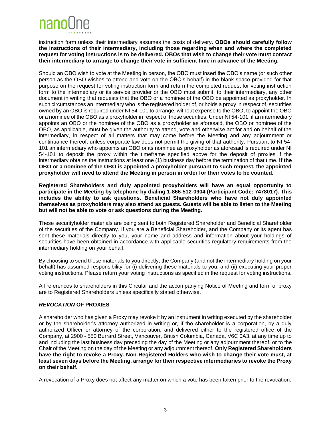

instruction form unless their intermediary assumes the costs of delivery. **OBOs should carefully follow the instructions of their intermediary, including those regarding when and where the completed request for voting instructions is to be delivered. OBOs that wish to change their vote must contact their intermediary to arrange to change their vote in sufficient time in advance of the Meeting.**

Should an OBO wish to vote at the Meeting in person, the OBO must insert the OBO's name (or such other person as the OBO wishes to attend and vote on the OBO's behalf) in the blank space provided for that purpose on the request for voting instruction form and return the completed request for voting instruction form to the intermediary or its service provider or the OBO must submit, to their intermediary, any other document in writing that requests that the OBO or a nominee of the OBO be appointed as proxyholder. In such circumstances an intermediary who is the registered holder of, or holds a proxy in respect of, securities owned by an OBO is required under NI 54-101 to arrange, without expense to the OBO, to appoint the OBO or a nominee of the OBO as a proxyholder in respect of those securities. Under NI 54-101, if an intermediary appoints an OBO or the nominee of the OBO as a proxyholder as aforesaid, the OBO or nominee of the OBO, as applicable, must be given the authority to attend, vote and otherwise act for and on behalf of the intermediary, in respect of all matters that may come before the Meeting and any adjournment or continuance thereof, unless corporate law does not permit the giving of that authority. Pursuant to NI 54- 101 an intermediary who appoints an OBO or its nominee as proxyholder as aforesaid is required under NI 54-101 to deposit the proxy within the timeframe specified above for the deposit of proxies if the intermediary obtains the instructions at least one (1) business day before the termination of that time. **If the OBO or a nominee of the OBO is appointed a proxyholder pursuant to such request, the appointed proxyholder will need to attend the Meeting in person in order for their votes to be counted.**

**Registered Shareholders and duly appointed proxyholders will have an equal opportunity to participate in the Meeting by telephone by dialing 1-866-512-0904 (Participant Code: 7478017). This includes the ability to ask questions. Beneficial Shareholders who have not duly appointed themselves as proxyholders may also attend as guests. Guests will be able to listen to the Meeting but will not be able to vote or ask questions during the Meeting.**

These securityholder materials are being sent to both Registered Shareholder and Beneficial Shareholder of the securities of the Company. If you are a Beneficial Shareholder, and the Company or its agent has sent these materials directly to you, your name and address and information about your holdings of securities have been obtained in accordance with applicable securities regulatory requirements from the intermediary holding on your behalf.

By choosing to send these materials to you directly, the Company (and not the intermediary holding on your behalf) has assumed responsibility for (i) delivering these materials to you, and (ii) executing your proper voting instructions. Please return your voting instructions as specified in the request for voting instructions.

All references to shareholders in this Circular and the accompanying Notice of Meeting and form of proxy are to Registered Shareholders unless specifically stated otherwise.

#### *REVOCATION* **OF PROXIES**

A shareholder who has given a Proxy may revoke it by an instrument in writing executed by the shareholder or by the shareholder's attorney authorized in writing or, if the shareholder is a corporation, by a duly authorized Officer or attorney of the corporation, and delivered either to the registered office of the Company, at 2900 - 550 Burrard Street, Vancouver, British Columbia, Canada, V6C 0A3, at any time up to and including the last business day preceding the day of the Meeting or any adjournment thereof, or to the Chair of the Meeting on the day of the Meeting or any adjournment thereof. **Only Registered Shareholders have the right to revoke a Proxy. Non-Registered Holders who wish to change their vote must, at least seven days before the Meeting, arrange for their respective intermediaries to revoke the Proxy on their behalf.**

A revocation of a Proxy does not affect any matter on which a vote has been taken prior to the revocation.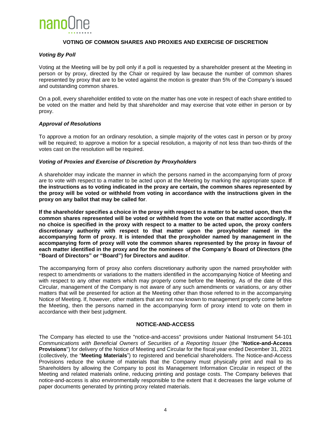

#### **VOTING OF COMMON SHARES AND PROXIES AND EXERCISE OF DISCRETION**

#### *Voting By Poll*

Voting at the Meeting will be by poll only if a poll is requested by a shareholder present at the Meeting in person or by proxy, directed by the Chair or required by law because the number of common shares represented by proxy that are to be voted against the motion is greater than 5% of the Company's issued and outstanding common shares.

On a poll, every shareholder entitled to vote on the matter has one vote in respect of each share entitled to be voted on the matter and held by that shareholder and may exercise that vote either in person or by proxy.

#### *Approval of Resolutions*

To approve a motion for an ordinary resolution, a simple majority of the votes cast in person or by proxy will be required; to approve a motion for a special resolution, a majority of not less than two-thirds of the votes cast on the resolution will be required.

#### *Voting of Proxies and Exercise of Discretion by Proxyholders*

A shareholder may indicate the manner in which the persons named in the accompanying form of proxy are to vote with respect to a matter to be acted upon at the Meeting by marking the appropriate space. **If the instructions as to voting indicated in the proxy are certain, the common shares represented by the proxy will be voted or withheld from voting in accordance with the instructions given in the proxy on any ballot that may be called for**.

**If the shareholder specifies a choice in the proxy with respect to a matter to be acted upon, then the common shares represented will be voted or withheld from the vote on that matter accordingly. If no choice is specified in the proxy with respect to a matter to be acted upon, the proxy confers discretionary authority with respect to that matter upon the proxyholder named in the accompanying form of proxy. It is intended that the proxyholder named by management in the accompanying form of proxy will vote the common shares represented by the proxy in favour of each matter identified in the proxy and for the nominees of the Company's Board of Directors (the "Board of Directors" or "Board") for Directors and auditor**.

The accompanying form of proxy also confers discretionary authority upon the named proxyholder with respect to amendments or variations to the matters identified in the accompanying Notice of Meeting and with respect to any other matters which may properly come before the Meeting. As of the date of this Circular, management of the Company is not aware of any such amendments or variations, or any other matters that will be presented for action at the Meeting other than those referred to in the accompanying Notice of Meeting. If, however, other matters that are not now known to management properly come before the Meeting, then the persons named in the accompanying form of proxy intend to vote on them in accordance with their best judgment.

#### **NOTICE-AND-ACCESS**

The Company has elected to use the "notice-and-access" provisions under National Instrument 54-101 *Communications with Beneficial Owners of Securities of a Reporting Issuer* (the "**Notice-and-Access Provisions**") for delivery of the Notice of Meeting and Circular for the fiscal year ended December 31, 2021 (collectively, the "**Meeting Materials**") to registered and beneficial shareholders. The Notice-and-Access Provisions reduce the volume of materials that the Company must physically print and mail to its Shareholders by allowing the Company to post its Management Information Circular in respect of the Meeting and related materials online, reducing printing and postage costs. The Company believes that notice-and-access is also environmentally responsible to the extent that it decreases the large volume of paper documents generated by printing proxy related materials.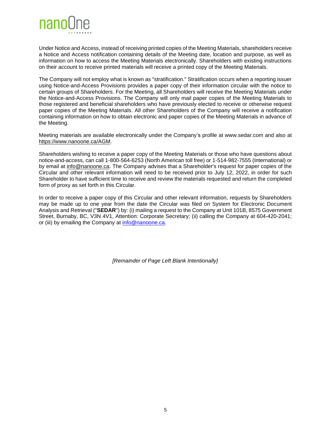

Under Notice and Access, instead of receiving printed copies of the Meeting Materials, shareholders receive a Notice and Access notification containing details of the Meeting date, location and purpose, as well as information on how to access the Meeting Materials electronically. Shareholders with existing instructions on their account to receive printed materials will receive a printed copy of the Meeting Materials.

The Company will not employ what is known as "stratification." Stratification occurs when a reporting issuer using Notice-and-Access Provisions provides a paper copy of their information circular with the notice to certain groups of Shareholders. For the Meeting, all Shareholders will receive the Meeting Materials under the Notice-and-Access Provisions. The Company will only mail paper copies of the Meeting Materials to those registered and beneficial shareholders who have previously elected to receive or otherwise request paper copies of the Meeting Materials. All other Shareholders of the Company will receive a notification containing information on how to obtain electronic and paper copies of the Meeting Materials in advance of the Meeting.

Meeting materials are available electronically under the Company's profile at www.sedar.com and also at https://www.nanoone.ca/AGM.

Shareholders wishing to receive a paper copy of the Meeting Materials or those who have questions about notice-and-access, can call 1-800-564-6253 (North American toll free) or 1-514-982-7555 (International) or by email at info@nanoone.ca. The Company advises that a Shareholder's request for paper copies of the Circular and other relevant information will need to be received prior to July 12, 2022, in order for such Shareholder to have sufficient time to receive and review the materials requested and return the completed form of proxy as set forth in this Circular.

In order to receive a paper copy of this Circular and other relevant information, requests by Shareholders may be made up to one year from the date the Circular was filed on System for Electronic Document Analysis and Retrieval ("**SEDAR**") by: (i) mailing a request to the Company at Unit 101B, 8575 Government Street, Burnaby, BC, V3N 4V1, Attention: Corporate Secretary; (ii) calling the Company at 604-420-2041; or (iii) by emailing the Company at [info@nanoone.ca.](mailto:info@nanoone.ca)

*[Remainder of Page Left Blank Intentionally}*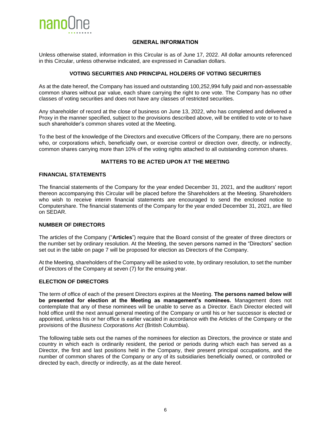

#### **GENERAL INFORMATION**

<span id="page-10-0"></span>Unless otherwise stated, information in this Circular is as of June 17, 2022. All dollar amounts referenced in this Circular, unless otherwise indicated, are expressed in Canadian dollars.

#### **VOTING SECURITIES AND PRINCIPAL HOLDERS OF VOTING SECURITIES**

<span id="page-10-1"></span>As at the date hereof, the Company has issued and outstanding 100,252,994 fully paid and non-assessable common shares without par value, each share carrying the right to one vote. The Company has no other classes of voting securities and does not have any classes of restricted securities.

Any shareholder of record at the close of business on June 13, 2022, who has completed and delivered a Proxy in the manner specified, subject to the provisions described above, will be entitled to vote or to have such shareholder's common shares voted at the Meeting.

To the best of the knowledge of the Directors and executive Officers of the Company, there are no persons who, or corporations which, beneficially own, or exercise control or direction over, directly, or indirectly, common shares carrying more than 10% of the voting rights attached to all outstanding common shares.

#### **MATTERS TO BE ACTED UPON AT THE MEETING**

#### <span id="page-10-2"></span>**FINANCIAL STATEMENTS**

The financial statements of the Company for the year ended December 31, 2021, and the auditors' report thereon accompanying this Circular will be placed before the Shareholders at the Meeting. Shareholders who wish to receive interim financial statements are encouraged to send the enclosed notice to Computershare. The financial statements of the Company for the year ended December 31, 2021, are filed on SEDAR.

#### **NUMBER OF DIRECTORS**

The articles of the Company ("**Articles**") require that the Board consist of the greater of three directors or the number set by ordinary resolution. At the Meeting, the seven persons named in the "Directors" section set out in the table on page 7 will be proposed for election as Directors of the Company.

At the Meeting, shareholders of the Company will be asked to vote, by ordinary resolution, to set the number of Directors of the Company at seven (7) for the ensuing year.

#### **ELECTION OF DIRECTORS**

The term of office of each of the present Directors expires at the Meeting. **The persons named below will be presented for election at the Meeting as management's nominees.** Management does not contemplate that any of these nominees will be unable to serve as a Director. Each Director elected will hold office until the next annual general meeting of the Company or until his or her successor is elected or appointed, unless his or her office is earlier vacated in accordance with the Articles of the Company or the provisions of the *Business Corporations Act* (British Columbia).

The following table sets out the names of the nominees for election as Directors, the province or state and country in which each is ordinarily resident, the period or periods during which each has served as a Director, the first and last positions held in the Company, their present principal occupations, and the number of common shares of the Company or any of its subsidiaries beneficially owned, or controlled or directed by each, directly or indirectly, as at the date hereof.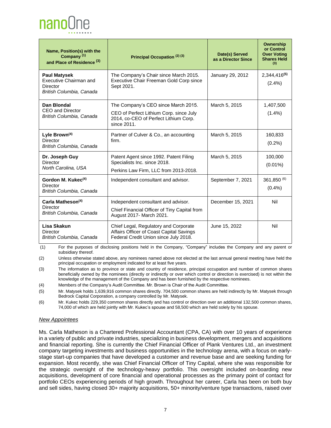nanol Ine

| Name, Position(s) with the<br>Company <sup>(1)</sup><br>and Place of Residence <sup>(3)</sup> | Principal Occupation (2)(3)                                                                                                            | Date(s) Served<br>as a Director Since | Ownership<br>or Control<br><b>Over Voting</b><br><b>Shares Held</b><br>(3) |
|-----------------------------------------------------------------------------------------------|----------------------------------------------------------------------------------------------------------------------------------------|---------------------------------------|----------------------------------------------------------------------------|
| <b>Paul Matysek</b><br>Executive Chairman and<br>Director<br>British Columbia, Canada         | The Company's Chair since March 2015.<br>Executive Chair Freeman Gold Corp since<br>Sept 2021.                                         | January 29, 2012                      | 2,344,416 <sup>(5)</sup><br>$(2.4\%)$                                      |
| Dan Blondal<br><b>CEO and Director</b><br>British Columbia, Canada                            | The Company's CEO since March 2015.<br>CEO of Perfect Lithium Corp. since July<br>2014, co-CEO of Perfect Lithium Corp.<br>since 2011. | March 5, 2015                         | 1,407,500<br>$(1.4\%)$                                                     |
| Lyle Brown <sup>(4)</sup><br><b>Director</b><br>British Columbia, Canada                      | Partner of Culver & Co., an accounting<br>firm.                                                                                        | March 5, 2015                         | 160,833<br>$(0.2\%)$                                                       |
| Dr. Joseph Guy<br>Director<br>North Carolina, USA                                             | Patent Agent since 1992. Patent Filing<br>Specialists Inc. since 2018.<br>Perkins Law Firm, LLC from 2013-2018.                        | March 5, 2015                         | 100,000<br>$(0.01\%)$                                                      |
| Gordon M. Kukec <sup>(4)</sup><br>Director<br>British Columbia, Canada                        | Independent consultant and advisor.                                                                                                    | September 7, 2021                     | 361,850 (6)<br>$(0.4\%)$                                                   |
| Carla Matheson <sup>(4)</sup><br>Director<br>British Columbia, Canada                         | Independent consultant and advisor.<br>Chief Financial Officer of Tiny Capital from<br>August 2017- March 2021.                        | December 15, 2021                     | Nil                                                                        |
| Lisa Skakun<br>Director<br>British Columbia, Canada                                           | Chief Legal, Regulatory and Corporate<br>Affairs Officer of Coast Capital Savings<br>Federal Credit Union since July 2018.             | June 15, 2022                         | Nil                                                                        |

(1) For the purposes of disclosing positions held in the Company, "Company" includes the Company and any parent or subsidiary thereof.

(2) Unless otherwise stated above, any nominees named above not elected at the last annual general meeting have held the principal occupation or employment indicated for at least five years.

(3) The information as to province or state and country of residence, principal occupation and number of common shares beneficially owned by the nominees (directly or indirectly or over which control or direction is exercised) is not within the knowledge of the management of the Company and has been furnished by the respective nominees.

(4) Members of the Company's Audit Committee. Mr. Brown is Chair of the Audit Committee.

(5) Mr. Matysek holds 1,639,916 common shares directly. 704,500 common shares are held indirectly by Mr. Matysek through Bedrock Capital Corporation, a company controlled by Mr. Matysek.

(6) Mr. Kukec holds 229,350 common shares directly and has control or direction over an additional 132,500 common shares, 74,000 of which are held jointly with Mr. Kukec's spouse and 58,500 which are held solely by his spouse.

#### *New Appointees*

Ms. Carla Matheson is a Chartered Professional Accountant (CPA, CA) with over 10 years of experience in a variety of public and private industries, specializing in business development, mergers and acquisitions and financial reporting. She is currently the Chief Financial Officer of Plank Ventures Ltd., an investment company targeting investments and business opportunities in the technology arena, with a focus on earlystage start-up companies that have developed a customer and revenue base and are seeking funding for expansion. Most recently, she was Chief Financial Officer of Tiny Capital, where she was responsible for the strategic oversight of the technology-heavy portfolio. This oversight included on-boarding new acquisitions, development of core financial and operational processes as the primary point of contact for portfolio CEOs experiencing periods of high growth. Throughout her career, Carla has been on both buy and sell sides, having closed 30+ majority acquisitions, 50+ minority/venture type transactions, raised over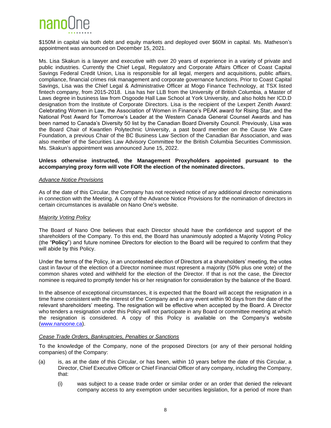

\$150M in capital via both debt and equity markets and deployed over \$60M in capital. Ms. Matheson's appointment was announced on December 15, 2021.

Ms. Lisa Skakun is a lawyer and executive with over 20 years of experience in a variety of private and public industries. Currently the Chief Legal, Regulatory and Corporate Affairs Officer of Coast Capital Savings Federal Credit Union, Lisa is responsible for all legal, mergers and acquisitions, public affairs, compliance, financial crimes risk management and corporate governance functions. Prior to Coast Capital Savings, Lisa was the Chief Legal & Administrative Officer at Mogo Finance Technology, at TSX listed fintech company, from 2015-2018. Lisa has her LLB from the University of British Columbia, a Master of Laws degree in business law from Osgoode Hall Law School at York University, and also holds her ICD.D designation from the Institute of Corporate Directors. Lisa is the recipient of the Lexpert Zenith Award: Celebrating Women in Law, the Association of Women in Finance's PEAK award for Rising Star, and the National Post Award for Tomorrow's Leader at the Western Canada General Counsel Awards and has been named to Canada's Diversity 50 list by the Canadian Board Diversity Council. Previously, Lisa was the Board Chair of Kwantlen Polytechnic University, a past board member on the Cause We Care Foundation, a previous Chair of the BC Business Law Section of the Canadian Bar Association, and was also member of the Securities Law Advisory Committee for the British Columbia Securities Commission. Ms. Skakun's appointment was announced June 15, 2022.

#### **Unless otherwise instructed, the Management Proxyholders appointed pursuant to the accompanying proxy form will vote FOR the election of the nominated directors.**

#### *Advance Notice Provisions*

As of the date of this Circular, the Company has not received notice of any additional director nominations in connection with the Meeting. A copy of the Advance Notice Provisions for the nomination of directors in certain circumstances is available on Nano One's website.

#### *Majority Voting Policy*

The Board of Nano One believes that each Director should have the confidence and support of the shareholders of the Company. To this end, the Board has unanimously adopted a Majority Voting Policy (the "**Policy**") and future nominee Directors for election to the Board will be required to confirm that they will abide by this Policy.

Under the terms of the Policy, in an uncontested election of Directors at a shareholders' meeting, the votes cast in favour of the election of a Director nominee must represent a majority (50% plus one vote) of the common shares voted and withheld for the election of the Director. If that is not the case, the Director nominee is required to promptly tender his or her resignation for consideration by the balance of the Board.

In the absence of exceptional circumstances, it is expected that the Board will accept the resignation in a time frame consistent with the interest of the Company and in any event within 90 days from the date of the relevant shareholders' meeting. The resignation will be effective when accepted by the Board. A Director who tenders a resignation under this Policy will not participate in any Board or committee meeting at which the resignation is considered. A copy of this Policy is available on the Company's website [\(www.nanoone.ca\)](http://www.nanoone.ca/).

#### *Cease Trade Orders, Bankruptcies, Penalties or Sanctions*

To the knowledge of the Company, none of the proposed Directors (or any of their personal holding companies) of the Company:

- (a) is, as at the date of this Circular, or has been, within 10 years before the date of this Circular, a Director, Chief Executive Officer or Chief Financial Officer of any company, including the Company, that:
	- (i) was subject to a cease trade order or similar order or an order that denied the relevant company access to any exemption under securities legislation, for a period of more than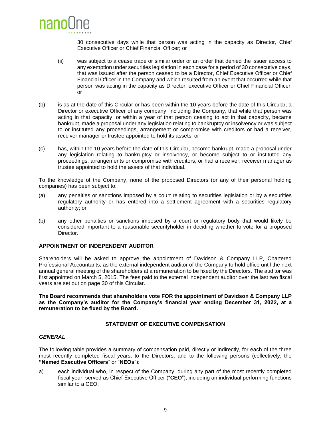

30 consecutive days while that person was acting in the capacity as Director, Chief Executive Officer or Chief Financial Officer; or

- (ii) was subject to a cease trade or similar order or an order that denied the issuer access to any exemption under securities legislation in each case for a period of 30 consecutive days, that was issued after the person ceased to be a Director, Chief Executive Officer or Chief Financial Officer in the Company and which resulted from an event that occurred while that person was acting in the capacity as Director, executive Officer or Chief Financial Officer; or
- (b) is as at the date of this Circular or has been within the 10 years before the date of this Circular, a Director or executive Officer of any company, including the Company, that while that person was acting in that capacity, or within a year of that person ceasing to act in that capacity, became bankrupt, made a proposal under any legislation relating to bankruptcy or insolvency or was subject to or instituted any proceedings, arrangement or compromise with creditors or had a receiver, receiver manager or trustee appointed to hold its assets; or
- (c) has, within the 10 years before the date of this Circular, become bankrupt, made a proposal under any legislation relating to bankruptcy or insolvency, or become subject to or instituted any proceedings, arrangements or compromise with creditors, or had a receiver, receiver manager as trustee appointed to hold the assets of that individual.

To the knowledge of the Company, none of the proposed Directors (or any of their personal holding companies) has been subject to:

- (a) any penalties or sanctions imposed by a court relating to securities legislation or by a securities regulatory authority or has entered into a settlement agreement with a securities regulatory authority; or
- (b) any other penalties or sanctions imposed by a court or regulatory body that would likely be considered important to a reasonable securityholder in deciding whether to vote for a proposed Director.

#### **APPOINTMENT OF INDEPENDENT AUDITOR**

Shareholders will be asked to approve the appointment of Davidson & Company LLP, Chartered Professional Accountants, as the external independent auditor of the Company to hold office until the next annual general meeting of the shareholders at a remuneration to be fixed by the Directors. The auditor was first appointed on March 5, 2015. The fees paid to the external independent auditor over the last two fiscal years are set out on page 30 of this Circular.

**The Board recommends that shareholders vote FOR the appointment of Davidson & Company LLP as the Company's auditor for the Company's financial year ending December 31, 2022, at a remuneration to be fixed by the Board.**

#### **STATEMENT OF EXECUTIVE COMPENSATION**

#### *GENERAL*

The following table provides a summary of compensation paid, directly or indirectly, for each of the three most recently completed fiscal years, to the Directors, and to the following persons (collectively, the **"Named Executive Officers**" or "**NEOs**"):

a) each individual who, in respect of the Company, during any part of the most recently completed fiscal year, served as Chief Executive Officer ("**CEO**"), including an individual performing functions similar to a CEO;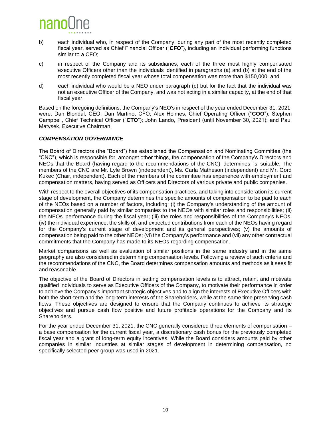

- b) each individual who, in respect of the Company, during any part of the most recently completed fiscal year, served as Chief Financial Officer ("**CFO**"), including an individual performing functions similar to a CFO;
- c) in respect of the Company and its subsidiaries, each of the three most highly compensated executive Officers other than the individuals identified in paragraphs (a) and (b) at the end of the most recently completed fiscal year whose total compensation was more than \$150,000; and
- d) each individual who would be a NEO under paragraph (c) but for the fact that the individual was not an executive Officer of the Company, and was not acting in a similar capacity, at the end of that fiscal year.

Based on the foregoing definitions, the Company's NEO's in respect of the year ended December 31, 2021, were: Dan Blondal, CEO; Dan Martino, CFO; Alex Holmes, Chief Operating Officer ("**COO**"); Stephen Campbell, Chief Technical Officer ("**CTO**"); John Lando, President (until November 30, 2021); and Paul Matysek, Executive Chairman.

#### *COMPENSATION GOVERNANCE*

The Board of Directors (the "Board") has established the Compensation and Nominating Committee (the "CNC"), which is responsible for, amongst other things, the compensation of the Company's Directors and NEOs that the Board (having regard to the recommendations of the CNC) determines is suitable. The members of the CNC are Mr. Lyle Brown (independent), Ms. Carla Matheson (independent) and Mr. Gord Kukec (Chair, independent). Each of the members of the committee has experience with employment and compensation matters, having served as Officers and Directors of various private and public companies.

With respect to the overall objectives of its compensation practices, and taking into consideration its current stage of development, the Company determines the specific amounts of compensation to be paid to each of the NEOs based on a number of factors, including: (i) the Company's understanding of the amount of compensation generally paid by similar companies to the NEOs with similar roles and responsibilities; (ii) the NEOs' performance during the fiscal year; (iii) the roles and responsibilities of the Company's NEOs; (iv) the individual experience, the skills of, and expected contributions from each of the NEOs having regard for the Company's current stage of development and its general perspectives; (v) the amounts of compensation being paid to the other NEOs; (vi) the Company's performance and (vii) any other contractual commitments that the Company has made to its NEOs regarding compensation.

Market comparisons as well as evaluation of similar positions in the same industry and in the same geography are also considered in determining compensation levels. Following a review of such criteria and the recommendations of the CNC, the Board determines compensation amounts and methods as it sees fit and reasonable.

The objective of the Board of Directors in setting compensation levels is to attract, retain, and motivate qualified individuals to serve as Executive Officers of the Company, to motivate their performance in order to achieve the Company's important strategic objectives and to align the interests of Executive Officers with both the short-term and the long-term interests of the Shareholders, while at the same time preserving cash flows. These objectives are designed to ensure that the Company continues to achieve its strategic objectives and pursue cash flow positive and future profitable operations for the Company and its Shareholders.

For the year ended December 31, 2021, the CNC generally considered three elements of compensation – a base compensation for the current fiscal year, a discretionary cash bonus for the previously completed fiscal year and a grant of long-term equity incentives. While the Board considers amounts paid by other companies in similar industries at similar stages of development in determining compensation, no specifically selected peer group was used in 2021.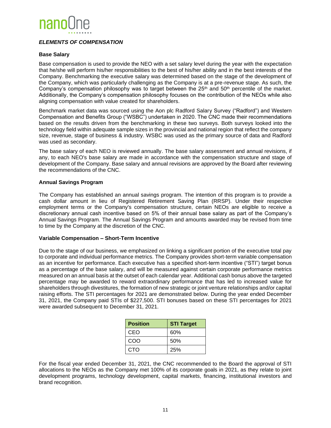

#### *ELEMENTS OF COMPENSATION*

#### **Base Salary**

Base compensation is used to provide the NEO with a set salary level during the year with the expectation that he/she will perform his/her responsibilities to the best of his/her ability and in the best interests of the Company. Benchmarking the executive salary was determined based on the stage of the development of the Company, which was particularly challenging as the Company is at a pre-revenue stage. As such, the Company's compensation philosophy was to target between the  $25<sup>th</sup>$  and  $50<sup>th</sup>$  percentile of the market. Additionally, the Company's compensation philosophy focuses on the contribution of the NEOs while also aligning compensation with value created for shareholders.

Benchmark market data was sourced using the Aon plc Radford Salary Survey ("Radford") and Western Compensation and Benefits Group ("WSBC") undertaken in 2020. The CNC made their recommendations based on the results driven from the benchmarking in these two surveys. Both surveys looked into the technology field within adequate sample sizes in the provincial and national region that reflect the company size, revenue, stage of business & industry. WSBC was used as the primary source of data and Radford was used as secondary.

The base salary of each NEO is reviewed annually. The base salary assessment and annual revisions, if any, to each NEO's base salary are made in accordance with the compensation structure and stage of development of the Company. Base salary and annual revisions are approved by the Board after reviewing the recommendations of the CNC.

#### **Annual Savings Program**

The Company has established an annual savings program. The intention of this program is to provide a cash dollar amount in lieu of Registered Retirement Saving Plan (RRSP). Under their respective employment terms or the Company's compensation structure, certain NEOs are eligible to receive a discretionary annual cash incentive based on 5% of their annual base salary as part of the Company's Annual Savings Program. The Annual Savings Program and amounts awarded may be revised from time to time by the Company at the discretion of the CNC.

#### **Variable Compensation – Short-Term Incentive**

Due to the stage of our business, we emphasized on linking a significant portion of the executive total pay to corporate and individual performance metrics. The Company provides short-term variable compensation as an incentive for performance. Each executive has a specified short-term incentive ("STI") target bonus as a percentage of the base salary, and will be measured against certain corporate performance metrics measured on an annual basis at the outset of each calendar year. Additional cash bonus above the targeted percentage may be awarded to reward extraordinary performance that has led to increased value for shareholders through divestitures, the formation of new strategic or joint venture relationships and/or capital raising efforts. The STI percentages for 2021 are demonstrated below. During the year ended December 31, 2021, the Company paid STIs of \$227,500. STI bonuses based on these STI percentages for 2021 were awarded subsequent to December 31, 2021.

| <b>Position</b> | <b>STI Target</b> |
|-----------------|-------------------|
| CEO             | 60%               |
| COO             | .50%              |
| <b>CTO</b>      | 25%               |

For the fiscal year ended December 31, 2021, the CNC recommended to the Board the approval of STI allocations to the NEOs as the Company met 100% of its corporate goals in 2021, as they relate to joint development programs, technology development, capital markets, financing, institutional investors and brand recognition.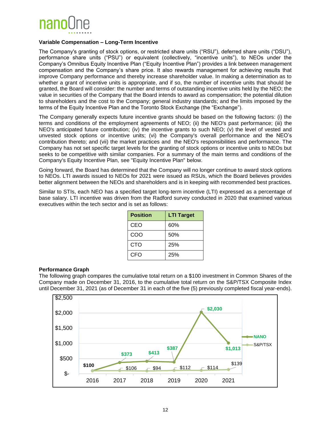

#### **Variable Compensation – Long-Term Incentive**

The Company's granting of stock options, or restricted share units ("RSU"), deferred share units ("DSU"), performance share units ("PSU") or equivalent (collectively, "incentive units"), to NEOs under the Company's Omnibus Equity Incentive Plan ("Equity Incentive Plan") provides a link between management compensation and the Company's share price. It also rewards management for achieving results that improve Company performance and thereby increase shareholder value. In making a determination as to whether a grant of incentive units is appropriate, and if so, the number of incentive units that should be granted, the Board will consider: the number and terms of outstanding incentive units held by the NEO; the value in securities of the Company that the Board intends to award as compensation; the potential dilution to shareholders and the cost to the Company; general industry standards; and the limits imposed by the terms of the Equity Incentive Plan and the Toronto Stock Exchange (the "Exchange").

The Company generally expects future incentive grants should be based on the following factors: (i) the terms and conditions of the employment agreements of NEO; (ii) the NEO's past performance; (iii) the NEO's anticipated future contribution; (iv) the incentive grants to such NEO; (v) the level of vested and unvested stock options or incentive units; (vi) the Company's overall performance and the NEO's contribution thereto; and (vii) the market practices and the NEO's responsibilities and performance. The Company has not set specific target levels for the granting of stock options or incentive units to NEOs but seeks to be competitive with similar companies. For a summary of the main terms and conditions of the Company's Equity Incentive Plan, see "Equity Incentive Plan" below.

Going forward, the Board has determined that the Company will no longer continue to award stock options to NEOs. LTI awards issued to NEOs for 2021 were issued as RSUs, which the Board believes provides better alignment between the NEOs and shareholders and is in keeping with recommended best practices.

Similar to STIs, each NEO has a specified target long-term incentive (LTI) expressed as a percentage of base salary. LTI incentive was driven from the Radford survey conducted in 2020 that examined various executives within the tech sector and is set as follows:

| <b>Position</b> | <b>LTI Target</b> |
|-----------------|-------------------|
| CEO             | 60%               |
| COO             | 50%               |
| <b>CTO</b>      | 25%               |
| CFO             | 25%               |

#### **Performance Graph**

The following graph compares the cumulative total return on a \$100 investment in Common Shares of the Company made on December 31, 2016, to the cumulative total return on the S&P/TSX Composite Index until December 31, 2021 (as of December 31 in each of the five (5) previously completed fiscal year-ends).

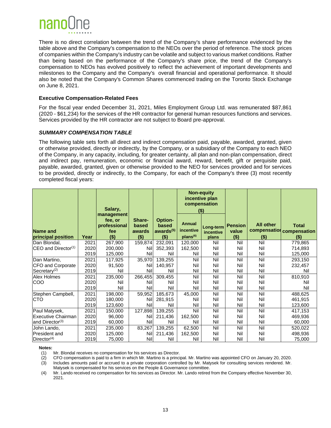

There is no direct correlation between the trend of the Company's share performance evidenced by the table above and the Company's compensation to the NEOs over the period of reference. The stock prices of companies within the Company's industry can be volatile and subject to various market conditions. Rather than being based on the performance of the Company's share price, the trend of the Company's compensation to NEOs has evolved positively to reflect the achievement of important developments and milestones to the Company and the Company's overall financial and operational performance. It should also be noted that the Company's Common Shares commenced trading on the Toronto Stock Exchange on June 8, 2021.

#### **Executive Compensation-Related Fees**

For the fiscal year ended December 31, 2021, Miles Employment Group Ltd. was remunerated \$87,861 (2020 - \$61,234) for the services of the HR contractor for general human resources functions and services. Services provided by the HR contractor are not subject to Board pre-approval.

#### *SUMMARY COMPENSATION TABLE*

The following table sets forth all direct and indirect compensation paid, payable, awarded, granted, given or otherwise provided, directly or indirectly, by the Company, or a subsidiary of the Company to each NEO of the Company, in any capacity, including, for greater certainty, all plan and non-plan compensation, direct and indirect pay, remuneration, economic or financial award, reward, benefit, gift or perquisite paid, payable, awarded, granted, given or otherwise provided to the NEO for services provided and for services to be provided, directly or indirectly, to the Company, for each of the Company's three (3) most recently completed fiscal years:

|                                  |              | Salary,                                                 |                                      |                                                      | <b>Non-equity</b><br>incentive plan<br>compensation<br>(\$) |                                 |                                    |                                             |                                         |
|----------------------------------|--------------|---------------------------------------------------------|--------------------------------------|------------------------------------------------------|-------------------------------------------------------------|---------------------------------|------------------------------------|---------------------------------------------|-----------------------------------------|
| Name and<br>principal position   | Year         | management<br>fee, or<br>professional<br>fee<br>$($ \$) | Share-<br>based<br>awards<br>$($ \$) | Option-<br>based<br>awards <sup>(5)</sup><br>$($ \$) | Annual<br>incentive<br>plans <sup>(6)</sup>                 | Long-term<br>incentive<br>plans | <b>Pension</b><br>value<br>$($ \$) | <b>All other</b><br>compensation<br>$($ \$) | <b>Total</b><br>compensation<br>$($ \$) |
| Dan Blondal,                     | 2021         | 267,900                                                 | 159,874                              | 232,091                                              | 120,000                                                     | Nil                             | Nil                                | Nil                                         | 779,865                                 |
| ICEO and Director <sup>(1)</sup> | 2020<br>2019 | 200,000<br>125,000                                      | Nil<br>Nil                           | 352,393<br>Nil                                       | 162,500<br>Nil                                              | Nil<br>Nil                      | Nil<br>Nil                         | Nil<br>Nil                                  | 714,893<br>125,000                      |
| Dan Martino,                     | 2021         | 117,925                                                 | 35,970                               | 139,255                                              | Nil                                                         | Nil                             | Nil                                | Nil                                         | 293,150                                 |
| CFO and Corporate                | 2020         | 91,500                                                  | Nil                                  | 140,957                                              | Nil                                                         | Nil                             | Nil                                | Nil                                         | 232,457                                 |
| $\textsf{Secretary}^{(2)}$       | 2019         | Nil                                                     | Nil                                  | Nil                                                  | Nil                                                         | Nil                             | Nil                                | Nil                                         | Nil                                     |
| Alex Holmes                      | 2021         | 235,000                                                 | 266,455                              | 309,455                                              | Nil                                                         | Nil                             | Nil                                | Nil                                         | 810,910                                 |
| COO                              | 2020         | Nil                                                     | Nil                                  | Nil                                                  | Nil                                                         | Nil                             | Nil                                | Nil                                         | Nil                                     |
|                                  | 2019         | Nil                                                     | Nil                                  | Nil                                                  | Nil                                                         | Nil                             | Nil                                | Nil                                         | Nil                                     |
| Stephen Campbell,                | 2021         | 198,000                                                 | 59,952                               | 185,673                                              | 45,000                                                      | Nil                             | Nil                                | Nil                                         | 488,625                                 |
| <b>CTO</b>                       | 2020         | 180,000                                                 | Nil                                  | 281,915                                              | Nil                                                         | Nil                             | Nil                                | Nil                                         | 461,915                                 |
|                                  | 2019         | 123,600                                                 | Nil                                  | Nil                                                  | Nil                                                         | Nil                             | Nil                                | Nil                                         | 123,600                                 |
| Paul Matysek,                    | 2021         | 150,000                                                 | 127,898                              | 139,255                                              | Nil                                                         | Nil                             | Nil                                | Nil                                         | 417,153                                 |
| <b>Executive Chairman</b>        | 2020         | 96,000                                                  | Nil                                  | 211,436                                              | 162,500                                                     | Nil                             | Nil                                | Nil                                         | 469,936                                 |
| and Director <sup>(3)</sup>      | 2019         | 60,000                                                  | Nil                                  | Nil                                                  | Nil                                                         | Nil                             | Nil                                | Nil                                         | 60,000                                  |
| John Lando,                      | 2021         | 235,000                                                 | 83,267                               | 139,255                                              | 62,500                                                      | Nil                             | Nil                                | Nil                                         | 520,022                                 |
| President and                    | 2020         | 125,000                                                 | Nil                                  | 211,436                                              | 162,500                                                     | Nil                             | Nil                                | Nil                                         | 498,936                                 |
| Director <sup>(4)</sup>          | 2019         | 75,000                                                  | Nil                                  | Nil                                                  | Nil                                                         | Nil                             | Nil                                | Nil                                         | 75,000                                  |

#### **Notes:**

(1) Mr. Blondal receives no compensation for his services as Director.

(2) CFO compensation is paid to a firm in which Mr. Martino is a principal. Mr. Martino was appointed CFO on January 20, 2020.

(3) Includes amounts paid or accrued to a private corporation controlled by Mr. Matysek for consulting services rendered. Mr. Matysek is compensated for his services on the People & Governance committee.

(4) Mr. Lando received no compensation for his services as Director. Mr. Lando retired from the Company effective November 30, 2021.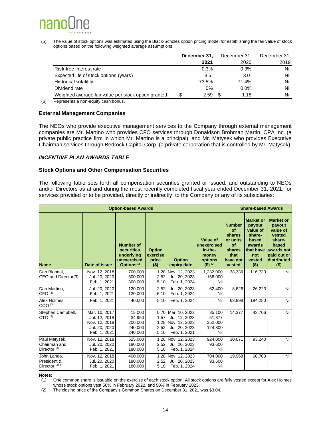## nano

(5) The value of stock options was estimated using the Black-Scholes option pricing model for establishing the fair value of stock options based on the following weighted average assumptions:

| December 31, | December 31, | December 31, |
|--------------|--------------|--------------|
| 2021         | 2020         | 2019         |
| 0.3%         | 0.3%         | Nil          |
| 3.5          | 3.0          | Nil          |
| 73.5%        | 71.4%        | Nil          |
| 0%           | $0.0\%$      | Nil          |
| \$<br>2.59   | \$.<br>1.18  | Nil          |
|              |              |              |

(6) Represents a non-equity cash bonus.

#### **External Management Companies**

The NEOs who provide executive management services to the Company through external management companies are Mr. Martino who provides CFO services through Donaldson Brohman Martin, CPA Inc. (a private public practice firm in which Mr. Martino is a principal), and Mr. Matysek who provides Executive Chairman services through Bedrock Capital Corp. (a private corporation that is controlled by Mr. Matysek).

#### *INCENTIVE PLAN AWARDS TABLE*

#### **Stock Options and Other Compensation Securities**

The following table sets forth all compensation securities granted or issued, and outstanding to NEOs and/or Directors as at and during the most recently completed fiscal year ended December 31, 2021, for services provided or to be provided, directly or indirectly, to the Company or any of its subsidiaries:

|                                                          | <b>Share-based Awards</b>                                                        |                                                                                       |                                               |                                                                                            |                                                                                |                                                                                                |                                                                                                            |                                                                                                                                 |
|----------------------------------------------------------|----------------------------------------------------------------------------------|---------------------------------------------------------------------------------------|-----------------------------------------------|--------------------------------------------------------------------------------------------|--------------------------------------------------------------------------------|------------------------------------------------------------------------------------------------|------------------------------------------------------------------------------------------------------------|---------------------------------------------------------------------------------------------------------------------------------|
| <b>Name</b>                                              | Date of issue                                                                    | <b>Number of</b><br>securities<br>underlying<br>unexercised<br>Options <sup>(1)</sup> | <b>Option</b><br>exercise<br>price<br>$($ \$) | <b>Option</b><br>expiry date                                                               | Value of<br>unexercised<br>in-the-<br>money<br>options<br>$(5)$ <sup>(2)</sup> | <b>Number</b><br><b>of</b><br>shares<br>or units<br>of<br>shares<br>that<br>have not<br>vested | <b>Market or</b><br>payout<br>value of<br>share-<br>based<br>awards<br>that have<br>not<br>vested<br>( \$) | <b>Market or</b><br>payout<br>value of<br>vested<br>share-<br>based<br>awards not<br><b>paid out or</b><br>distributed<br>( \$) |
| Dan Blondal.<br>CEO and Director(3)                      | Nov. 12, 2018<br>Jul. 20, 2020<br>Feb. 1, 2021                                   | 700,000<br>300.000<br>300,000                                                         | 1.28<br>2.52<br>5.10                          | Nov. 12, 2023<br>Jul. 20, 2023<br>Feb. 1, 2024                                             | 1,232,000<br>156,000<br>Nil                                                    | 38,339                                                                                         | 116,733                                                                                                    | Nil                                                                                                                             |
| Dan Martino,<br>CFO <sup>(3)</sup>                       | Jul. 20, 2020<br>Feb. 1, 2021                                                    | 120,000<br>120,000                                                                    | 2.52<br>5.10                                  | Jul. 20, 2023<br>Feb. 1, 2024                                                              | 62,400<br>Nil                                                                  | 8,626                                                                                          | 26,223                                                                                                     | Nil                                                                                                                             |
| Alex Holmes<br>$COO^{(3)}$                               | Feb. 1, 2021                                                                     | 400.00                                                                                | 5.10                                          | Feb. 1, 2024                                                                               | Nil                                                                            | 63,898                                                                                         | 194,250                                                                                                    | Nil                                                                                                                             |
| Stephen Campbell,<br>CTO <sup>(3)</sup>                  | Mar. 10, 2017<br>Jul. 12, 2018<br>Nov. 12, 2018<br>Jul. 20, 2020<br>Feb. 1, 2021 | 15,000<br>34,950<br>200,000<br>240.000<br>240,000                                     | 1.57<br>2.52<br>5.10                          | 0.70 Mar. 10, 2022<br>Jul. 12, 2023<br>1.28 Nov. 12, 2023<br>Jul. 20, 2023<br>Feb. 1, 2021 | 35,100<br>51,377<br>352,000<br>124,800<br>Nil                                  | 14,377                                                                                         | 43,706                                                                                                     | Nil                                                                                                                             |
| Paul Matysek,<br>Chairman and<br>Director <sup>(3)</sup> | Nov. 12, 2018<br>Jul. 20, 2020<br>Feb. 1, 2021                                   | 525,000<br>180,000<br>180,000                                                         | 2.52<br>5.10                                  | 1.28 Nov. 12, 2023<br>Jul. 20, 2023<br>Feb. 1, 2024                                        | 924,000<br>93,600<br>Nil                                                       | 30,671                                                                                         | 93,240                                                                                                     | Nil                                                                                                                             |
| John Lando,<br>President &<br>Director $(3)(4)$          | Nov. 12, 2018<br>Jul. 20, 2020<br>Feb. 1, 2021                                   | 400.000<br>180.000<br>180,000                                                         | 2.52<br>5.10                                  | 1.28 Nov. 12, 2023<br>Jul. 20, 2023<br>Feb. 1, 2024                                        | 704,000<br>93,600<br>Nil                                                       | 19,968                                                                                         | 60,703                                                                                                     | Nil                                                                                                                             |

#### **Notes:**

(1) One common share is issuable on the exercise of each stock option. All stock options are fully vested except for Alex Holmes whose stock options vest 50% in February 2022, and 50% in February 2023.

(2) The closing price of the Company's Common Shares on December 31, 2021 was \$3.04.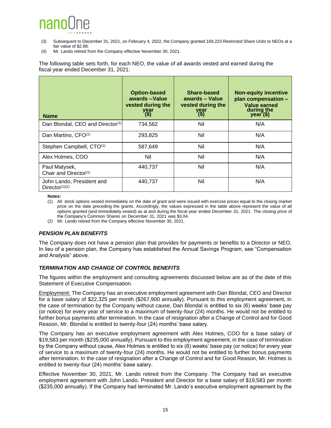## nano

- (3) Subsequent to December 31, 2021, on February 4, 2022, the Company granted 169,223 Restricted Share Units to NEOs at a fair value of \$2.88.
- (4) Mr. Lando retired from the Company effective November 30, 2021.

The following table sets forth, for each NEO, the value of all awards vested and earned during the fiscal year ended December 31, 2021:

| <b>Name</b>                                             | <b>Option-based</b><br>awards - Value<br>vested during the<br>year<br>(\$) | Share-based<br>awards - Value<br>vested during the<br>year<br>(\$) | <b>Non-equity incentive</b><br>plan compensation -<br>Value earned<br>during the<br>$year($ \$) |
|---------------------------------------------------------|----------------------------------------------------------------------------|--------------------------------------------------------------------|-------------------------------------------------------------------------------------------------|
| Dan Blondal, CEO and Director <sup>(1)</sup>            | 734,562                                                                    | Nil                                                                | N/A                                                                                             |
| Dan Martino, CFO <sup>(1)</sup>                         | 293,825                                                                    | Nil                                                                | N/A                                                                                             |
| Stephen Campbell, CTO <sup>(1)</sup>                    | 587,649                                                                    | Nil                                                                | N/A                                                                                             |
| Alex Holmes, COO                                        | Nil                                                                        | Nil                                                                | N/A                                                                                             |
| Paul Matysek,<br>Chair and Director <sup>(1)</sup>      | 440,737                                                                    | Nil                                                                | N/A                                                                                             |
| John Lando, President and<br>Director <sup>(1)(2)</sup> | 440,737                                                                    | Nil                                                                | N/A                                                                                             |

**Notes:**

(1) All stock options vested immediately on the date of grant and were issued with exercise prices equal to the closing market price on the date preceding the grants. Accordingly, the values expressed in the table above represent the value of all options granted (and immediately vested) as at and during the fiscal year ended December 31, 2021. The closing price of the Company's Common Shares on December 31, 2021 was \$3.04.

(2) Mr. Lando retired from the Company effective November 30, 2021.

#### *PENSION PLAN BENEFITS*

The Company does not have a pension plan that provides for payments or benefits to a Director or NEO. In lieu of a pension plan, the Company has established the Annual Savings Program, see "Compensation and Analysis" above.

#### *TERMINATION AND CHANGE OF CONTROL BENEFITS*

The figures within the employment and consulting agreements discussed below are as of the date of this Statement of Executive Compensation.

Employment: The Company has an executive employment agreement with Dan Blondal, CEO and Director for a base salary of \$22,325 per month (\$267,900 annually). Pursuant to this employment agreement, in the case of termination by the Company without cause, Dan Blondal is entitled to six (6) weeks' base pay (or notice) for every year of service to a maximum of twenty-four (24) months. He would not be entitled to further bonus payments after termination. In the case of resignation after a Change of Control and for Good Reason, Mr. Blondal is entitled to twenty-four (24) months' base salary.

The Company has an executive employment agreement with Alex Holmes, COO for a base salary of \$19,583 per month (\$235,000 annually). Pursuant to this employment agreement, in the case of termination by the Company without cause, Alex Holmes is entitled to six (6) weeks' base pay (or notice) for every year of service to a maximum of twenty-four (24) months. He would not be entitled to further bonus payments after termination. In the case of resignation after a Change of Control and for Good Reason, Mr. Holmes is entitled to twenty-four (24) months' base salary.

Effective November 30, 2021, Mr. Lando retired from the Company. The Company had an executive employment agreement with John Lando, President and Director for a base salary of \$19,583 per month (\$235,000 annually). If the Company had terminated Mr. Lando's executive employment agreement by the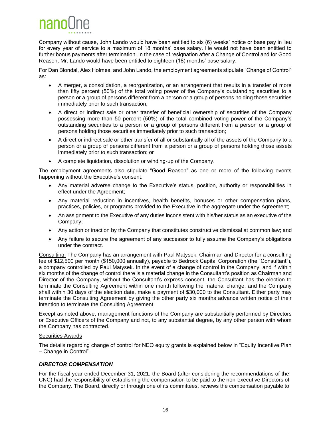

Company without cause, John Lando would have been entitled to six (6) weeks' notice or base pay in lieu for every year of service to a maximum of 18 months' base salary. He would not have been entitled to further bonus payments after termination. In the case of resignation after a Change of Control and for Good Reason, Mr. Lando would have been entitled to eighteen (18) months' base salary.

For Dan Blondal, Alex Holmes, and John Lando, the employment agreements stipulate "Change of Control" as:

- A merger, a consolidation, a reorganization, or an arrangement that results in a transfer of more than fifty percent (50%) of the total voting power of the Company's outstanding securities to a person or a group of persons different from a person or a group of persons holding those securities immediately prior to such transaction;
- A direct or indirect sale or other transfer of beneficial ownership of securities of the Company possessing more than 50 percent (50%) of the total combined voting power of the Company's outstanding securities to a person or a group of persons different from a person or a group of persons holding those securities immediately prior to such transaction;
- A direct or indirect sale or other transfer of all or substantially all of the assets of the Company to a person or a group of persons different from a person or a group of persons holding those assets immediately prior to such transaction; or
- A complete liquidation, dissolution or winding-up of the Company.

The employment agreements also stipulate "Good Reason" as one or more of the following events happening without the Executive's consent:

- Any material adverse change to the Executive's status, position, authority or responsibilities in effect under the Agreement;
- Any material reduction in incentives, health benefits, bonuses or other compensation plans, practices, policies, or programs provided to the Executive in the aggregate under the Agreement;
- An assignment to the Executive of any duties inconsistent with his/her status as an executive of the Company;
- Any action or inaction by the Company that constitutes constructive dismissal at common law; and
- Any failure to secure the agreement of any successor to fully assume the Company's obligations under the contract.

Consulting: The Company has an arrangement with Paul Matysek, Chairman and Director for a consulting fee of \$12,500 per month (\$150,000 annually), payable to Bedrock Capital Corporation (the "Consultant"), a company controlled by Paul Matysek. In the event of a change of control in the Company, and if within six months of the change of control there is a material change in the Consultant's position as Chairman and Director of the Company, without the Consultant's express consent, the Consultant has the election to terminate the Consulting Agreement within one month following the material change, and the Company shall within 30 days of the election date, make a payment of \$30,000 to the Consultant. Either party may terminate the Consulting Agreement by giving the other party six months advance written notice of their intention to terminate the Consulting Agreement.

Except as noted above, management functions of the Company are substantially performed by Directors or Executive Officers of the Company and not, to any substantial degree, by any other person with whom the Company has contracted.

#### Securities Awards

The details regarding change of control for NEO equity grants is explained below in "Equity Incentive Plan – Change in Control".

#### *DIRECTOR COMPENSATION*

For the fiscal year ended December 31, 2021, the Board (after considering the recommendations of the CNC) had the responsibility of establishing the compensation to be paid to the non-executive Directors of the Company. The Board, directly or through one of its committees, reviews the compensation payable to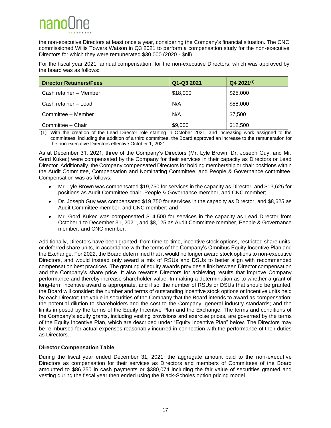## nanol

the non-executive Directors at least once a year, considering the Company's financial situation. The CNC commissioned Willis Towers Watson in Q3 2021 to perform a compensation study for the non-executive Directors for which they were remunerated \$30,000 (2020 - \$nil).

For the fiscal year 2021, annual compensation, for the non-executive Directors, which was approved by the board was as follows:

| <b>Director Retainers/Fees</b> | Q1-Q3 2021 | $Q42021^{(1)}$ |
|--------------------------------|------------|----------------|
| Cash retainer - Member         | \$18,000   | \$25,000       |
| Cash retainer - Lead           | N/A        | \$58,000       |
| Committee - Member             | N/A        | \$7,500        |
| Committee - Chair              | \$9,000    | \$12,500       |

(1) With the creation of the Lead Director role starting in October 2021, and increasing work assigned to the committees, including the addition of a third committee, the Board approved an increase to the remuneration for the non-executive Directors effective October 1, 2021.

As at December 31, 2021, three of the Company's Directors (Mr. Lyle Brown, Dr. Joseph Guy, and Mr. Gord Kukec) were compensated by the Company for their services in their capacity as Directors or Lead Director. Additionally, the Company compensated Directors for holding membership or chair positions within the Audit Committee, Compensation and Nominating Committee, and People & Governance committee. Compensation was as follows:

- Mr. Lyle Brown was compensated \$19,750 for services in the capacity as Director, and \$13,625 for positions as Audit Committee chair, People & Governance member, and CNC member;
- Dr. Joseph Guy was compensated \$19,750 for services in the capacity as Director, and \$8,625 as Audit Committee member, and CNC member; and
- Mr. Gord Kukec was compensated \$14,500 for services in the capacity as Lead Director from October 1 to December 31, 2021, and \$8,125 as Audit Committee member, People & Governance member, and CNC member.

Additionally, Directors have been granted, from time-to-time, incentive stock options, restricted share units, or deferred share units, in accordance with the terms of the Company's Omnibus Equity Incentive Plan and the Exchange. For 2022, the Board determined that it would no longer award stock options to non-executive Directors, and would instead only award a mix of RSUs and DSUs to better align with recommended compensation best practices. The granting of equity awards provides a link between Director compensation and the Company's share price. It also rewards Directors for achieving results that improve Company performance and thereby increase shareholder value. In making a determination as to whether a grant of long-term incentive award is appropriate, and if so, the number of RSUs or DSUs that should be granted, the Board will consider: the number and terms of outstanding incentive stock options or incentive units held by each Director; the value in securities of the Company that the Board intends to award as compensation; the potential dilution to shareholders and the cost to the Company; general industry standards; and the limits imposed by the terms of the Equity Incentive Plan and the Exchange. The terms and conditions of the Company's equity grants, including vesting provisions and exercise prices, are governed by the terms of the Equity Incentive Plan, which are described under "Equity Incentive Plan" below. The Directors may be reimbursed for actual expenses reasonably incurred in connection with the performance of their duties as Directors.

#### **Director Compensation Table**

During the fiscal year ended December 31, 2021, the aggregate amount paid to the non-executive Directors as compensation for their services as Directors and members of Committees of the Board amounted to \$86,250 in cash payments or \$380,074 including the fair value of securities granted and vesting during the fiscal year then ended using the Black-Scholes option pricing model.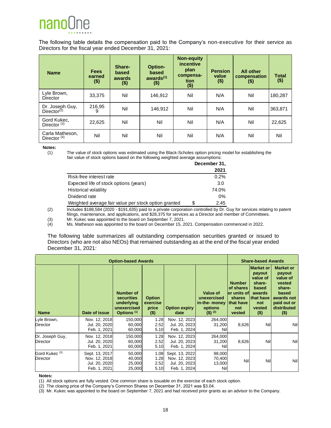

The following table details the compensation paid to the Company's non-executive for their service as Directors for the fiscal year ended December 31, 2021:

| <b>Name</b>                                | <b>Fees</b><br>earned<br>$($ \$) | Share-<br>based<br>awards<br>$($ \$) | Option-<br>based<br>awards <sup>(1)</sup><br>$($ \$) | <b>Non-equity</b><br>incentive<br>plan<br>compensa-<br>tion<br>$($ \$) | <b>Pension</b><br>value<br>$($ \$) | <b>All other</b><br>compensation<br>$($ \$) | <b>Total</b><br>$($ \$) |
|--------------------------------------------|----------------------------------|--------------------------------------|------------------------------------------------------|------------------------------------------------------------------------|------------------------------------|---------------------------------------------|-------------------------|
| Lyle Brown,<br>Director                    | 33.375                           | Nil                                  | 146,912                                              | Nil                                                                    | N/A                                | Nil                                         | 180,287                 |
| Dr. Joseph Guy,<br>Director <sup>(2)</sup> | 216,95<br>9                      | Nil                                  | 146,912                                              | Nil                                                                    | N/A                                | Nil                                         | 363,871                 |
| Gord Kukec,<br>Director $(3)$              | 22.625                           | Nil                                  | Nil                                                  | Nil                                                                    | N/A                                | Nil                                         | 22,625                  |
| Carla Matheson,<br>Director $(4)$          | Nil                              | Nil                                  | Nil                                                  | Nil                                                                    | N/A                                | Nil                                         | Nil                     |

**Notes:**

(1) The value of stock options was estimated using the Black-Scholes option pricing model for establishing the fair value of stock options based on the following weighted average assumptions:

|                                                      |    | December 31, |
|------------------------------------------------------|----|--------------|
|                                                      |    | 2021         |
| Risk-free interest rate                              |    | 0.2%         |
| Expected life of stock options (years)               |    | 3.0          |
| Historical volatility                                |    | 74.0%        |
| Dividend rate                                        |    | $0\%$        |
| Weighted average fair value per stock option granted | S. | 2.45         |

(2) Includes \$188,584 (2020 - \$191,635) paid to a private corporation controlled by Dr. Guy for services relating to patent filings, maintenance, and applications, and \$28,375 for services as a Director and member of Committees.

(3) Mr. Kukec was appointed to the board on September 7, 2021.

Ms. Matheson was appointed to the board on December 15, 2021. Compensation commenced in 2022.

The following table summarizes all outstanding compensation securities granted or issued to Directors (who are not also NEOs) that remained outstanding as at the end of the fiscal year ended December 31, 2021:

|                                              | <b>Share-based Awards</b>                                        |                                                                                       |                                               |                                                                  |                                                                         |                                                                                    |                                                                                                                      |                                                                                                                            |
|----------------------------------------------|------------------------------------------------------------------|---------------------------------------------------------------------------------------|-----------------------------------------------|------------------------------------------------------------------|-------------------------------------------------------------------------|------------------------------------------------------------------------------------|----------------------------------------------------------------------------------------------------------------------|----------------------------------------------------------------------------------------------------------------------------|
| <b>Name</b>                                  | Date of issue                                                    | <b>Number of</b><br>securities<br>underlying<br>unexercised<br>Options <sup>(1)</sup> | <b>Option</b><br>exercise<br>price<br>$($ \$) | <b>Option expiry</b><br>date                                     | Value of<br>unexercised<br>in-the- money<br>options<br>$($ \$) $^{(2)}$ | <b>Number</b><br>of shares<br>lor units of<br>shares<br>that have<br>not<br>vested | <b>Market or</b><br>payout<br>value of<br>share-<br>based<br>awards<br><b>Ithat have</b><br>not<br>vested<br>$($ \$) | <b>Market or</b><br>payout<br>value of<br>vested<br>share-<br>based<br>awards not<br>paid out or<br>distributed<br>$($ \$) |
| Lyle Brown,<br><b>Director</b>               | Nov. 12, 2018<br>Jul. 20, 2020<br>Feb. 1, 2021                   | 150,000<br>60,000<br>60,000                                                           | 1.28<br>2.52<br>5.10                          | Nov. 12, 2023<br>Jul. 20, 2023<br>Feb. 1, 2024                   | 264,000<br>31,200<br>Nil                                                | 8,626                                                                              | Nil                                                                                                                  | Nil                                                                                                                        |
| Dr. Joseph Guy,<br><b>Director</b>           | Nov. 12, 2018<br>Jul. 20, 2020<br>Feb. 1, 2021                   | 150,000<br>60,000<br>60,000                                                           | 1.28<br>2.52<br>5.10                          | Nov. 12, 2023<br>Jul. 20, 2023<br>Feb. 1, 2024                   | 264,000<br>31,200<br>Nil                                                | 8,626                                                                              | Nil                                                                                                                  | Nil                                                                                                                        |
| Gord Kukec <sup>(3)</sup><br><b>Director</b> | Sept. 13, 2017<br>Nov. 12, 2018<br>Jul. 20, 2020<br>Feb. 1, 2021 | 50,000<br>40,000<br>25,000<br>25,000                                                  | 1.08<br>1.28<br>2.52<br>5.10                  | Sept. 13, 2022<br>Nov. 12, 2023<br>Jul. 20, 2023<br>Feb. 1, 2024 | 98,000<br>70,400<br>13,000<br>Nill                                      | Nil                                                                                | Nil                                                                                                                  | Nil                                                                                                                        |

#### **Notes:**

(1) All stock options are fully vested. One common share is issuable on the exercise of each stock option.

(2) The closing price of the Company's Common Shares on December 31, 2021 was \$3.04.

(3) Mr. Kukec was appointed to the board on September 7, 2021 and had received prior grants as an advisor to the Company.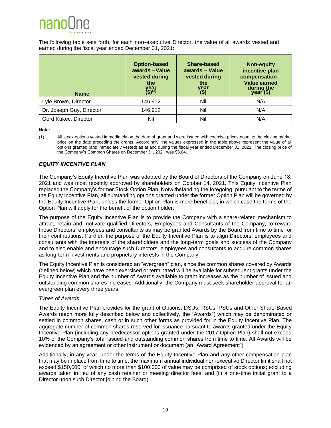

The following table sets forth, for each non-executive Director, the value of all awards vested and earned during the fiscal year ended December 31, 2021:

| <b>Name</b>              | <b>Option-based</b><br>awards-Value<br>vested during<br>the<br>year<br>(\$) <sup>(1)</sup> | Share-based<br>awards - Value<br>vested during<br>the<br>year<br>(\$) | <b>Non-equity</b><br>incentive plan<br>compensation -<br><b>Value earned</b><br>during the<br>$year($ \$) |
|--------------------------|--------------------------------------------------------------------------------------------|-----------------------------------------------------------------------|-----------------------------------------------------------------------------------------------------------|
| Lyle Brown, Director     | 146.912                                                                                    | Nil                                                                   | N/A                                                                                                       |
| Dr. Joseph Guy, Director | 146,912                                                                                    | Nil                                                                   | N/A                                                                                                       |
| Gord Kukec, Director     | Nil                                                                                        | Nil                                                                   | N/A                                                                                                       |

**Note:**

#### *EQUITY INCENTIVE PLAN*

The Company's Equity Incentive Plan was adopted by the Board of Directors of the Company on June 18, 2021 and was most recently approved by shareholders on October 14, 2021. This Equity Incentive Plan replaced the Company's former Stock Option Plan. Notwithstanding the foregoing, pursuant to the terms of the Equity Incentive Plan, all outstanding options granted under the former Option Plan will be governed by the Equity Incentive Plan, unless the former Option Plan is more beneficial, in which case the terms of the Option Plan will apply for the benefit of the option holder.

The purpose of the Equity Incentive Plan is to provide the Company with a share-related mechanism to attract, retain and motivate qualified Directors, Employees and Consultants of the Company, to reward those Directors, employees and consultants as may be granted Awards by the Board from time to time for their contributions. Further, the purpose of the Equity Incentive Plan is to align Directors, employees and consultants with the interests of the shareholders and the long-term goals and success of the Company and to also enable and encourage such Directors, employees and consultants to acquire common shares as long-term investments and proprietary interests in the Company.

The Equity Incentive Plan is considered an "evergreen" plan, since the common shares covered by Awards (defined below) which have been exercised or terminated will be available for subsequent grants under the Equity Incentive Plan and the number of Awards available to grant increases as the number of issued and outstanding common shares increases. Additionally, the Company must seek shareholder approval for an evergreen plan every three years.

#### *Types of Awards*

The Equity Incentive Plan provides for the grant of Options, DSUs, RSUs, PSUs and Other Share-Based Awards (each more fully described below and collectively, the "Awards") which may be denominated or settled in common shares, cash or in such other forms as provided for in the Equity Incentive Plan. The aggregate number of common shares reserved for issuance pursuant to awards granted under the Equity Incentive Plan (including any predecessor options granted under the 2017 Option Plan) shall not exceed 10% of the Company's total issued and outstanding common shares from time to time. All Awards will be evidenced by an agreement or other instrument or document (an "Award Agreement").

Additionally, in any year, under the terms of the Equity Incentive Plan and any other compensation plan that may be in place from time to time, the maximum annual individual non-executive Director limit shall not exceed \$150,000, of which no more than \$100,000 of value may be comprised of stock options; excluding awards taken in lieu of any cash retainer or meeting director fees, and (ii) a one-time initial grant to a Director upon such Director joining the Board).

<sup>(1)</sup> All stock options vested immediately on the date of grant and were issued with exercise prices equal to the closing market price on the date preceding the grants. Accordingly, the values expressed in the table above represent the value of all options granted (and immediately vested) as at and during the fiscal year ended December 31, 2021. The closing price of the Company's Common Shares on December 31, 2021 was \$3.04.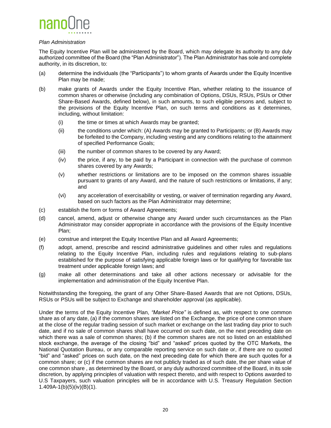

#### *Plan Administration*

The Equity Incentive Plan will be administered by the Board, which may delegate its authority to any duly authorized committee of the Board (the "Plan Administrator"). The Plan Administrator has sole and complete authority, in its discretion, to:

- (a) determine the individuals (the "Participants") to whom grants of Awards under the Equity Incentive Plan may be made;
- (b) make grants of Awards under the Equity Incentive Plan, whether relating to the issuance of common shares or otherwise (including any combination of Options, DSUs, RSUs, PSUs or Other Share-Based Awards, defined below), in such amounts, to such eligible persons and, subject to the provisions of the Equity Incentive Plan, on such terms and conditions as it determines, including, without limitation:
	- (i) the time or times at which Awards may be granted;
	- (ii) the conditions under which: (A) Awards may be granted to Participants; or (B) Awards may be forfeited to the Company, including vesting and any conditions relating to the attainment of specified Performance Goals;
	- (iii) the number of common shares to be covered by any Award;
	- (iv) the price, if any, to be paid by a Participant in connection with the purchase of common shares covered by any Awards;
	- (v) whether restrictions or limitations are to be imposed on the common shares issuable pursuant to grants of any Award, and the nature of such restrictions or limitations, if any; and
	- (vi) any acceleration of exercisability or vesting, or waiver of termination regarding any Award, based on such factors as the Plan Administrator may determine;
- (c) establish the form or forms of Award Agreements;
- (d) cancel, amend, adjust or otherwise change any Award under such circumstances as the Plan Administrator may consider appropriate in accordance with the provisions of the Equity Incentive Plan;
- (e) construe and interpret the Equity Incentive Plan and all Award Agreements;
- (f) adopt, amend, prescribe and rescind administrative guidelines and other rules and regulations relating to the Equity Incentive Plan, including rules and regulations relating to sub-plans established for the purpose of satisfying applicable foreign laws or for qualifying for favorable tax treatment under applicable foreign laws; and
- (g) make all other determinations and take all other actions necessary or advisable for the implementation and administration of the Equity Incentive Plan.

Notwithstanding the foregoing, the grant of any Other Share-Based Awards that are not Options, DSUs, RSUs or PSUs will be subject to Exchange and shareholder approval (as applicable).

Under the terms of the Equity Incentive Plan, *"Market Price"* is defined as, with respect to one common share as of any date, (a) if the common shares are listed on the Exchange, the price of one common share at the close of the regular trading session of such market or exchange on the last trading day prior to such date, and if no sale of common shares shall have occurred on such date, on the next preceding date on which there was a sale of common shares; (b) if the common shares are not so listed on an established stock exchange, the average of the closing "bid" and "asked" prices quoted by the OTC Markets, the National Quotation Bureau, or any comparable reporting service on such date or, if there are no quoted "bid" and "asked" prices on such date, on the next preceding date for which there are such quotes for a common share; or (c) if the common shares are not publicly traded as of such date, the per share value of one common share , as determined by the Board, or any duly authorized committee of the Board, in its sole discretion, by applying principles of valuation with respect thereto, and with respect to Options awarded to U.S Taxpayers, such valuation principles will be in accordance with U.S. Treasury Regulation Section 1.409A-1(b)(5)(iv)(B)(1).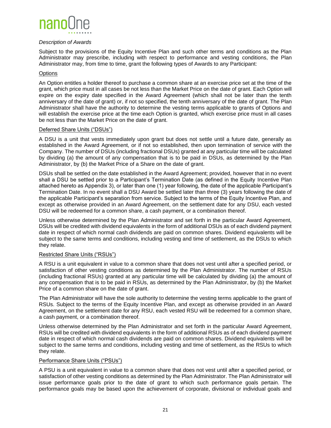

#### *Description of Awards*

Subject to the provisions of the Equity Incentive Plan and such other terms and conditions as the Plan Administrator may prescribe, including with respect to performance and vesting conditions, the Plan Administrator may, from time to time, grant the following types of Awards to any Participant:

#### **Options**

An Option entitles a holder thereof to purchase a common share at an exercise price set at the time of the grant, which price must in all cases be not less than the Market Price on the date of grant. Each Option will expire on the expiry date specified in the Award Agreement (which shall not be later than the tenth anniversary of the date of grant) or, if not so specified, the tenth anniversary of the date of grant. The Plan Administrator shall have the authority to determine the vesting terms applicable to grants of Options and will establish the exercise price at the time each Option is granted, which exercise price must in all cases be not less than the Market Price on the date of grant.

#### Deferred Share Units ("DSUs")

A DSU is a unit that vests immediately upon grant but does not settle until a future date, generally as established in the Award Agreement, or if not so established, then upon termination of service with the Company. The number of DSUs (including fractional DSUs) granted at any particular time will be calculated by dividing (a) the amount of any compensation that is to be paid in DSUs, as determined by the Plan Administrator, by (b) the Market Price of a Share on the date of grant.

DSUs shall be settled on the date established in the Award Agreement; provided, however that in no event shall a DSU be settled prior to a Participant's Termination Date (as defined in the Equity Incentive Plan attached hereto as Appendix 3), or later than one (1) year following, the date of the applicable Participant's Termination Date. In no event shall a DSU Award be settled later than three (3) years following the date of the applicable Participant's separation from service. Subject to the terms of the Equity Incentive Plan, and except as otherwise provided in an Award Agreement, on the settlement date for any DSU, each vested DSU will be redeemed for a common share, a cash payment, or a combination thereof.

Unless otherwise determined by the Plan Administrator and set forth in the particular Award Agreement, DSUs will be credited with dividend equivalents in the form of additional DSUs as of each dividend payment date in respect of which normal cash dividends are paid on common shares. Dividend equivalents will be subject to the same terms and conditions, including vesting and time of settlement, as the DSUs to which they relate.

#### Restricted Share Units ("RSUs")

A RSU is a unit equivalent in value to a common share that does not vest until after a specified period, or satisfaction of other vesting conditions as determined by the Plan Administrator. The number of RSUs (including fractional RSUs) granted at any particular time will be calculated by dividing (a) the amount of any compensation that is to be paid in RSUs, as determined by the Plan Administrator, by (b) the Market Price of a common share on the date of grant.

The Plan Administrator will have the sole authority to determine the vesting terms applicable to the grant of RSUs. Subject to the terms of the Equity Incentive Plan, and except as otherwise provided in an Award Agreement, on the settlement date for any RSU, each vested RSU will be redeemed for a common share, a cash payment, or a combination thereof.

Unless otherwise determined by the Plan Administrator and set forth in the particular Award Agreement, RSUs will be credited with dividend equivalents in the form of additional RSUs as of each dividend payment date in respect of which normal cash dividends are paid on common shares. Dividend equivalents will be subject to the same terms and conditions, including vesting and time of settlement, as the RSUs to which they relate.

#### Performance Share Units ("PSUs")

A PSU is a unit equivalent in value to a common share that does not vest until after a specified period, or satisfaction of other vesting conditions as determined by the Plan Administrator. The Plan Administrator will issue performance goals prior to the date of grant to which such performance goals pertain. The performance goals may be based upon the achievement of corporate, divisional or individual goals and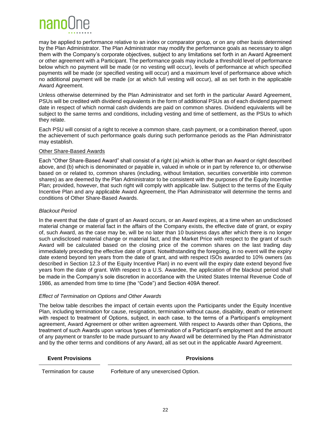

may be applied to performance relative to an index or comparator group, or on any other basis determined by the Plan Administrator. The Plan Administrator may modify the performance goals as necessary to align them with the Company's corporate objectives, subject to any limitations set forth in an Award Agreement or other agreement with a Participant. The performance goals may include a threshold level of performance below which no payment will be made (or no vesting will occur), levels of performance at which specified payments will be made (or specified vesting will occur) and a maximum level of performance above which no additional payment will be made (or at which full vesting will occur), all as set forth in the applicable Award Agreement.

Unless otherwise determined by the Plan Administrator and set forth in the particular Award Agreement, PSUs will be credited with dividend equivalents in the form of additional PSUs as of each dividend payment date in respect of which normal cash dividends are paid on common shares. Dividend equivalents will be subject to the same terms and conditions, including vesting and time of settlement, as the PSUs to which they relate.

Each PSU will consist of a right to receive a common share, cash payment, or a combination thereof, upon the achievement of such performance goals during such performance periods as the Plan Administrator may establish.

#### Other Share-Based Awards

Each "Other Share-Based Award" shall consist of a right (a) which is other than an Award or right described above, and (b) which is denominated or payable in, valued in whole or in part by reference to, or otherwise based on or related to, common shares (including, without limitation, securities convertible into common shares) as are deemed by the Plan Administrator to be consistent with the purposes of the Equity Incentive Plan; provided, however, that such right will comply with applicable law. Subject to the terms of the Equity Incentive Plan and any applicable Award Agreement, the Plan Administrator will determine the terms and conditions of Other Share-Based Awards.

#### *Blackout Period*

In the event that the date of grant of an Award occurs, or an Award expires, at a time when an undisclosed material change or material fact in the affairs of the Company exists, the effective date of grant, or expiry of, such Award, as the case may be, will be no later than 10 business days after which there is no longer such undisclosed material change or material fact, and the Market Price with respect to the grant of such Award will be calculated based on the closing price of the common shares on the last trading day immediately preceding the effective date of grant. Notwithstanding the foregoing, in no event will the expiry date extend beyond ten years from the date of grant, and with respect ISOs awarded to 10% owners (as described in Section 12.3 of the Equity Incentive Plan) in no event will the expiry date extend beyond five years from the date of grant. With respect to a U.S. Awardee, the application of the blackout period shall be made in the Company's sole discretion in accordance with the United States Internal Revenue Code of 1986, as amended from time to time (the "Code") and Section 409A thereof.

#### *Effect of Termination on Options and Other Awards*

The below table describes the impact of certain events upon the Participants under the Equity Incentive Plan, including termination for cause, resignation, termination without cause, disability, death or retirement with respect to treatment of Options, subject, in each case, to the terms of a Participant's employment agreement, Award Agreement or other written agreement. With respect to Awards other than Options, the treatment of such Awards upon various types of termination of a Participant's employment and the amount of any payment or transfer to be made pursuant to any Award will be determined by the Plan Administrator and by the other terms and conditions of any Award, all as set out in the applicable Award Agreement.

#### **Event Provisions Provisions**

Termination for cause Forfeiture of any unexercised Option.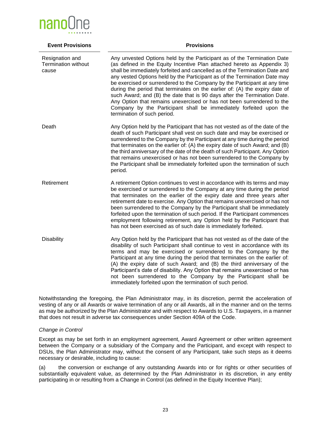

| <b>Event Provisions</b>                                | <b>Provisions</b>                                                                                                                                                                                                                                                                                                                                                                                                                                                                                                                                                                                                                                                                                                                     |
|--------------------------------------------------------|---------------------------------------------------------------------------------------------------------------------------------------------------------------------------------------------------------------------------------------------------------------------------------------------------------------------------------------------------------------------------------------------------------------------------------------------------------------------------------------------------------------------------------------------------------------------------------------------------------------------------------------------------------------------------------------------------------------------------------------|
| Resignation and<br><b>Termination without</b><br>cause | Any unvested Options held by the Participant as of the Termination Date<br>(as defined in the Equity Incentive Plan attached hereto as Appendix 3)<br>shall be immediately forfeited and cancelled as of the Termination Date and<br>any vested Options held by the Participant as of the Termination Date may<br>be exercised or surrendered to the Company by the Participant at any time<br>during the period that terminates on the earlier of: (A) the expiry date of<br>such Award; and (B) the date that is 90 days after the Termination Date.<br>Any Option that remains unexercised or has not been surrendered to the<br>Company by the Participant shall be immediately forfeited upon the<br>termination of such period. |
| Death                                                  | Any Option held by the Participant that has not vested as of the date of the<br>death of such Participant shall vest on such date and may be exercised or<br>surrendered to the Company by the Participant at any time during the period<br>that terminates on the earlier of: (A) the expiry date of such Award; and (B)<br>the third anniversary of the date of the death of such Participant. Any Option<br>that remains unexercised or has not been surrendered to the Company by<br>the Participant shall be immediately forfeited upon the termination of such<br>period.                                                                                                                                                       |
| Retirement                                             | A retirement Option continues to vest in accordance with its terms and may<br>be exercised or surrendered to the Company at any time during the period<br>that terminates on the earlier of the expiry date and three years after<br>retirement date to exercise. Any Option that remains unexercised or has not<br>been surrendered to the Company by the Participant shall be immediately<br>forfeited upon the termination of such period. If the Participant commences<br>employment following retirement, any Option held by the Participant that<br>has not been exercised as of such date is immediately forfeited.                                                                                                            |
| <b>Disability</b>                                      | Any Option held by the Participant that has not vested as of the date of the<br>disability of such Participant shall continue to vest in accordance with its<br>terms and may be exercised or surrendered to the Company by the<br>Participant at any time during the period that terminates on the earlier of:<br>(A) the expiry date of such Award; and (B) the third anniversary of the<br>Participant's date of disability. Any Option that remains unexercised or has<br>not been surrendered to the Company by the Participant shall be<br>immediately forfeited upon the termination of such period.                                                                                                                           |

Notwithstanding the foregoing, the Plan Administrator may, in its discretion, permit the acceleration of vesting of any or all Awards or waive termination of any or all Awards, all in the manner and on the terms as may be authorized by the Plan Administrator and with respect to Awards to U.S. Taxpayers, in a manner that does not result in adverse tax consequences under Section 409A of the Code.

#### *Change in Control*

Except as may be set forth in an employment agreement, Award Agreement or other written agreement between the Company or a subsidiary of the Company and the Participant, and except with respect to DSUs, the Plan Administrator may, without the consent of any Participant, take such steps as it deems necessary or desirable, including to cause:

(a) the conversion or exchange of any outstanding Awards into or for rights or other securities of substantially equivalent value, as determined by the Plan Administrator in its discretion, in any entity participating in or resulting from a Change in Control (as defined in the Equity Incentive Plan);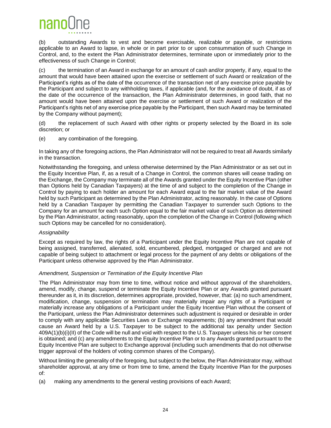

(b) outstanding Awards to vest and become exercisable, realizable or payable, or restrictions applicable to an Award to lapse, in whole or in part prior to or upon consummation of such Change in Control, and, to the extent the Plan Administrator determines, terminate upon or immediately prior to the effectiveness of such Change in Control;

(c) the termination of an Award in exchange for an amount of cash and/or property, if any, equal to the amount that would have been attained upon the exercise or settlement of such Award or realization of the Participant's rights as of the date of the occurrence of the transaction net of any exercise price payable by the Participant and subject to any withholding taxes, if applicable (and, for the avoidance of doubt, if as of the date of the occurrence of the transaction, the Plan Administrator determines, in good faith, that no amount would have been attained upon the exercise or settlement of such Award or realization of the Participant's rights net of any exercise price payable by the Participant, then such Award may be terminated by the Company without payment);

(d) the replacement of such Award with other rights or property selected by the Board in its sole discretion; or

(e) any combination of the foregoing.

In taking any of the foregoing actions, the Plan Administrator will not be required to treat all Awards similarly in the transaction.

Notwithstanding the foregoing, and unless otherwise determined by the Plan Administrator or as set out in the Equity Incentive Plan, if, as a result of a Change in Control, the common shares will cease trading on the Exchange, the Company may terminate all of the Awards granted under the Equity Incentive Plan (other than Options held by Canadian Taxpayers) at the time of and subject to the completion of the Change in Control by paying to each holder an amount for each Award equal to the fair market value of the Award held by such Participant as determined by the Plan Administrator, acting reasonably. In the case of Options held by a Canadian Taxpayer by permitting the Canadian Taxpayer to surrender such Options to the Company for an amount for each such Option equal to the fair market value of such Option as determined by the Plan Administrator, acting reasonably, upon the completion of the Change in Control (following which such Options may be cancelled for no consideration).

#### *Assignability*

Except as required by law, the rights of a Participant under the Equity Incentive Plan are not capable of being assigned, transferred, alienated, sold, encumbered, pledged, mortgaged or charged and are not capable of being subject to attachment or legal process for the payment of any debts or obligations of the Participant unless otherwise approved by the Plan Administrator.

#### *Amendment, Suspension or Termination of the Equity Incentive Plan*

The Plan Administrator may from time to time, without notice and without approval of the shareholders, amend, modify, change, suspend or terminate the Equity Incentive Plan or any Awards granted pursuant thereunder as it, in its discretion, determines appropriate, provided, however, that: (a) no such amendment, modification, change, suspension or termination may materially impair any rights of a Participant or materially increase any obligations of a Participant under the Equity Incentive Plan without the consent of the Participant, unless the Plan Administrator determines such adjustment is required or desirable in order to comply with any applicable Securities Laws or Exchange requirements; (b) any amendment that would cause an Award held by a U.S. Taxpayer to be subject to the additional tax penalty under Section 409A(1)(b)(i)(II) of the Code will be null and void with respect to the U.S. Taxpayer unless his or her consent is obtained; and (c) any amendments to the Equity Incentive Plan or to any Awards granted pursuant to the Equity Incentive Plan are subject to Exchange approval (including such amendments that do not otherwise trigger approval of the holders of voting common shares of the Company).

Without limiting the generality of the foregoing, but subject to the below, the Plan Administrator may, without shareholder approval, at any time or from time to time, amend the Equity Incentive Plan for the purposes of:

(a) making any amendments to the general vesting provisions of each Award;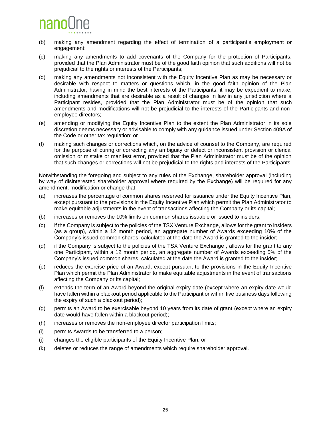

- (b) making any amendment regarding the effect of termination of a participant's employment or engagement;
- (c) making any amendments to add covenants of the Company for the protection of Participants, provided that the Plan Administrator must be of the good faith opinion that such additions will not be prejudicial to the rights or interests of the Participants;
- (d) making any amendments not inconsistent with the Equity Incentive Plan as may be necessary or desirable with respect to matters or questions which, in the good faith opinion of the Plan Administrator, having in mind the best interests of the Participants, it may be expedient to make, including amendments that are desirable as a result of changes in law in any jurisdiction where a Participant resides, provided that the Plan Administrator must be of the opinion that such amendments and modifications will not be prejudicial to the interests of the Participants and nonemployee directors;
- (e) amending or modifying the Equity Incentive Plan to the extent the Plan Administrator in its sole discretion deems necessary or advisable to comply with any guidance issued under Section 409A of the Code or other tax regulation; or
- (f) making such changes or corrections which, on the advice of counsel to the Company, are required for the purpose of curing or correcting any ambiguity or defect or inconsistent provision or clerical omission or mistake or manifest error, provided that the Plan Administrator must be of the opinion that such changes or corrections will not be prejudicial to the rights and interests of the Participants.

Notwithstanding the foregoing and subject to any rules of the Exchange, shareholder approval (including by way of disinterested shareholder approval where required by the Exchange) will be required for any amendment, modification or change that:

- (a) increases the percentage of common shares reserved for issuance under the Equity Incentive Plan, except pursuant to the provisions in the Equity Incentive Plan which permit the Plan Administrator to make equitable adjustments in the event of transactions affecting the Company or its capital;
- (b) increases or removes the 10% limits on common shares issuable or issued to insiders;
- (c) if the Company is subject to the policies of the TSX Venture Exchange, allows for the grant to insiders (as a group), within a 12 month period, an aggregate number of Awards exceeding 10% of the Company's issued common shares, calculated at the date the Award is granted to the insider;
- (d) if the Company is subject to the policies of the TSX Venture Exchange , allows for the grant to any one Participant, within a 12 month period, an aggregate number of Awards exceeding 5% of the Company's issued common shares, calculated at the date the Award is granted to the insider;
- (e) reduces the exercise price of an Award, except pursuant to the provisions in the Equity Incentive Plan which permit the Plan Administrator to make equitable adjustments in the event of transactions affecting the Company or its capital;
- (f) extends the term of an Award beyond the original expiry date (except where an expiry date would have fallen within a blackout period applicable to the Participant or within five business days following the expiry of such a blackout period);
- (g) permits an Award to be exercisable beyond 10 years from its date of grant (except where an expiry date would have fallen within a blackout period);
- (h) increases or removes the non-employee director participation limits;
- (i) permits Awards to be transferred to a person;
- (j) changes the eligible participants of the Equity Incentive Plan; or
- (k) deletes or reduces the range of amendments which require shareholder approval.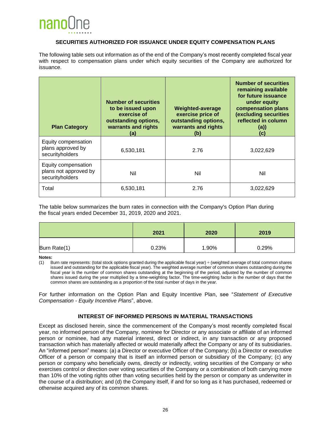

#### **SECURITIES AUTHORIZED FOR ISSUANCE UNDER EQUITY COMPENSATION PLANS**

<span id="page-30-0"></span>The following table sets out information as of the end of the Company's most recently completed fiscal year with respect to compensation plans under which equity securities of the Company are authorized for issuance.

| <b>Plan Category</b>                                            | <b>Number of securities</b><br>to be issued upon<br>exercise of<br>outstanding options,<br>warrants and rights<br>(a) | Weighted-average<br>exercise price of<br>outstanding options,<br>warrants and rights<br>(b) | <b>Number of securities</b><br>remaining available<br>for future issuance<br>under equity<br>compensation plans<br>(excluding securities<br>reflected in column<br>(a)<br>(C) |
|-----------------------------------------------------------------|-----------------------------------------------------------------------------------------------------------------------|---------------------------------------------------------------------------------------------|-------------------------------------------------------------------------------------------------------------------------------------------------------------------------------|
| Equity compensation<br>plans approved by<br>securityholders     | 6,530,181                                                                                                             | 2.76                                                                                        | 3,022,629                                                                                                                                                                     |
| Equity compensation<br>plans not approved by<br>securityholders | Nil                                                                                                                   | Nil                                                                                         | Nil                                                                                                                                                                           |
| Total                                                           | 6,530,181                                                                                                             | 2.76                                                                                        | 3,022,629                                                                                                                                                                     |

The table below summarizes the burn rates in connection with the Company's Option Plan during the fiscal years ended December 31, 2019, 2020 and 2021.

|              | 2021  | 2020  | 2019  |
|--------------|-------|-------|-------|
| Burn Rate(1) | 0.23% | 1.90% | 0.29% |

**Notes:**

(1) Burn rate represents: (total stock options granted during the applicable fiscal year)  $\div$  (weighted average of total common shares issued and outstanding for the applicable fiscal year). The weighted average number of common shares outstanding during the fiscal year is the number of common shares outstanding at the beginning of the period, adjusted by the number of common shares issued during the year multiplied by a time-weighting factor. The time-weighting factor is the number of days that the common shares are outstanding as a proportion of the total number of days in the year.

For further information on the Option Plan and Equity Incentive Plan, see "*Statement of Executive Compensation - Equity Incentive Plans*", above.

#### **INTEREST OF INFORMED PERSONS IN MATERIAL TRANSACTIONS**

<span id="page-30-1"></span>Except as disclosed herein, since the commencement of the Company's most recently completed fiscal year, no informed person of the Company, nominee for Director or any associate or affiliate of an informed person or nominee, had any material interest, direct or indirect, in any transaction or any proposed transaction which has materially affected or would materially affect the Company or any of its subsidiaries. An "informed person" means: (a) a Director or executive Officer of the Company; (b) a Director or executive Officer of a person or company that is itself an informed person or subsidiary of the Company; (c) any person or company who beneficially owns, directly or indirectly, voting securities of the Company or who exercises control or direction over voting securities of the Company or a combination of both carrying more than 10% of the voting rights other than voting securities held by the person or company as underwriter in the course of a distribution; and (d) the Company itself, if and for so long as it has purchased, redeemed or otherwise acquired any of its common shares.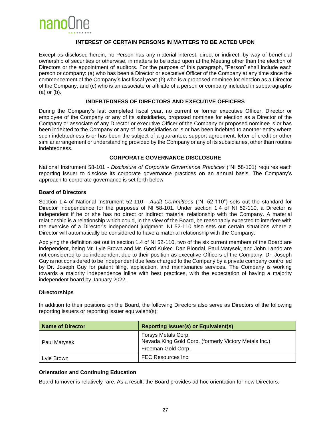

#### **INTEREST OF CERTAIN PERSONS IN MATTERS TO BE ACTED UPON**

<span id="page-31-0"></span>Except as disclosed herein, no Person has any material interest, direct or indirect, by way of beneficial ownership of securities or otherwise, in matters to be acted upon at the Meeting other than the election of Directors or the appointment of auditors. For the purpose of this paragraph, "Person" shall include each person or company: (a) who has been a Director or executive Officer of the Company at any time since the commencement of the Company's last fiscal year; (b) who is a proposed nominee for election as a Director of the Company; and (c) who is an associate or affiliate of a person or company included in subparagraphs (a) or (b).

#### **INDEBTEDNESS OF DIRECTORS AND EXECUTIVE OFFICERS**

<span id="page-31-1"></span>During the Company's last completed fiscal year, no current or former executive Officer, Director or employee of the Company or any of its subsidiaries, proposed nominee for election as a Director of the Company or associate of any Director or executive Officer of the Company or proposed nominee is or has been indebted to the Company or any of its subsidiaries or is or has been indebted to another entity where such indebtedness is or has been the subject of a guarantee, support agreement, letter of credit or other similar arrangement or understanding provided by the Company or any of its subsidiaries, other than routine indebtedness.

#### **CORPORATE GOVERNANCE DISCLOSURE**

<span id="page-31-2"></span>National Instrument 58-101 - *Disclosure of Corporate Governance Practices* ("NI 58-101) requires each reporting issuer to disclose its corporate governance practices on an annual basis. The Company's approach to corporate governance is set forth below.

#### **Board of Directors**

Section 1.4 of National Instrument 52-110 - *Audit Committees* ("NI 52-110") sets out the standard for Director independence for the purposes of NI 58-101. Under section 1.4 of NI 52-110, a Director is independent if he or she has no direct or indirect material relationship with the Company. A material relationship is a relationship which could, in the view of the Board, be reasonably expected to interfere with the exercise of a Director's independent judgment. NI 52-110 also sets out certain situations where a Director will automatically be considered to have a material relationship with the Company.

Applying the definition set out in section 1.4 of NI 52-110, two of the six current members of the Board are independent, being Mr. Lyle Brown and Mr. Gord Kukec. Dan Blondal, Paul Matysek, and John Lando are not considered to be independent due to their position as executive Officers of the Company. Dr. Joseph Guy is not considered to be independent due fees charged to the Company by a private company controlled by Dr. Joseph Guy for patent filing, application, and maintenance services. The Company is working towards a majority independence inline with best practices, with the expectation of having a majority independent board by January 2022.

#### **Directorships**

In addition to their positions on the Board, the following Directors also serve as Directors of the following reporting issuers or reporting issuer equivalent(s):

| <b>Name of Director</b> | <b>Reporting Issuer(s) or Equivalent(s)</b>                                                        |  |
|-------------------------|----------------------------------------------------------------------------------------------------|--|
| Paul Matysek            | Forsys Metals Corp.<br>Nevada King Gold Corp. (formerly Victory Metals Inc.)<br>Freeman Gold Corp. |  |
| Lyle Brown              | FEC Resources Inc.                                                                                 |  |

#### **Orientation and Continuing Education**

Board turnover is relatively rare. As a result, the Board provides ad hoc orientation for new Directors.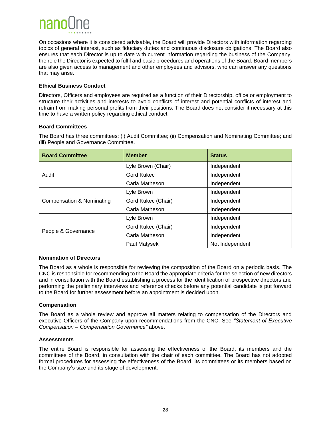## nano

On occasions where it is considered advisable, the Board will provide Directors with information regarding topics of general interest, such as fiduciary duties and continuous disclosure obligations. The Board also ensures that each Director is up to date with current information regarding the business of the Company, the role the Director is expected to fulfil and basic procedures and operations of the Board. Board members are also given access to management and other employees and advisors, who can answer any questions that may arise.

#### **Ethical Business Conduct**

Directors, Officers and employees are required as a function of their Directorship, office or employment to structure their activities and interests to avoid conflicts of interest and potential conflicts of interest and refrain from making personal profits from their positions. The Board does not consider it necessary at this time to have a written policy regarding ethical conduct.

#### **Board Committees**

The Board has three committees: (i) Audit Committee; (ii) Compensation and Nominating Committee; and (iii) People and Governance Committee.

| <b>Board Committee</b>    | <b>Member</b>      | <b>Status</b>   |  |
|---------------------------|--------------------|-----------------|--|
|                           | Lyle Brown (Chair) | Independent     |  |
| Audit                     | <b>Gord Kukec</b>  | Independent     |  |
|                           | Carla Matheson     | Independent     |  |
| Compensation & Nominating | Lyle Brown         | Independent     |  |
|                           | Gord Kukec (Chair) | Independent     |  |
|                           | Carla Matheson     | Independent     |  |
| People & Governance       | Lyle Brown         | Independent     |  |
|                           | Gord Kukec (Chair) | Independent     |  |
|                           | Carla Matheson     | Independent     |  |
|                           | Paul Matysek       | Not Independent |  |

#### **Nomination of Directors**

The Board as a whole is responsible for reviewing the composition of the Board on a periodic basis. The CNC is responsible for recommending to the Board the appropriate criteria for the selection of new directors and in consultation with the Board establishing a process for the identification of prospective directors and performing the preliminary interviews and reference checks before any potential candidate is put forward to the Board for further assessment before an appointment is decided upon.

#### **Compensation**

The Board as a whole review and approve all matters relating to compensation of the Directors and executive Officers of the Company upon recommendations from the CNC. See *"Statement of Executive Compensation – Compensation Governance"* above.

#### **Assessments**

The entire Board is responsible for assessing the effectiveness of the Board, its members and the committees of the Board, in consultation with the chair of each committee. The Board has not adopted formal procedures for assessing the effectiveness of the Board, its committees or its members based on the Company's size and its stage of development.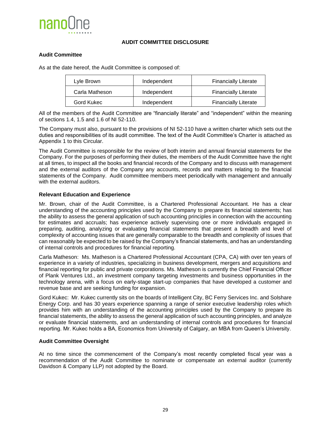

#### **AUDIT COMMITTEE DISCLOSURE**

#### <span id="page-33-0"></span>**Audit Committee**

As at the date hereof, the Audit Committee is composed of:

| Lyle Brown     | Independent | <b>Financially Literate</b> |
|----------------|-------------|-----------------------------|
| Carla Matheson | Independent | <b>Financially Literate</b> |
| Gord Kukec     | Independent | <b>Financially Literate</b> |

All of the members of the Audit Committee are "financially literate" and "independent" within the meaning of sections 1.4, 1.5 and 1.6 of NI 52-110.

The Company must also, pursuant to the provisions of NI 52-110 have a written charter which sets out the duties and responsibilities of its audit committee. The text of the Audit Committee's Charter is attached as Appendix 1 to this Circular.

The Audit Committee is responsible for the review of both interim and annual financial statements for the Company. For the purposes of performing their duties, the members of the Audit Committee have the right at all times, to inspect all the books and financial records of the Company and to discuss with management and the external auditors of the Company any accounts, records and matters relating to the financial statements of the Company. Audit committee members meet periodically with management and annually with the external auditors.

#### **Relevant Education and Experience**

Mr. Brown, chair of the Audit Committee, is a Chartered Professional Accountant. He has a clear understanding of the accounting principles used by the Company to prepare its financial statements; has the ability to assess the general application of such accounting principles in connection with the accounting for estimates and accruals; has experience actively supervising one or more individuals engaged in preparing, auditing, analyzing or evaluating financial statements that present a breadth and level of complexity of accounting issues that are generally comparable to the breadth and complexity of issues that can reasonably be expected to be raised by the Company's financial statements, and has an understanding of internal controls and procedures for financial reporting.

Carla Matheson: Ms. Matheson is a Chartered Professional Accountant (CPA, CA) with over ten years of experience in a variety of industries, specializing in business development, mergers and acquisitions and financial reporting for public and private corporations. Ms. Matheson is currently the Chief Financial Officer of Plank Ventures Ltd., an investment company targeting investments and business opportunities in the technology arena, with a focus on early-stage start-up companies that have developed a customer and revenue base and are seeking funding for expansion.

Gord Kukec: Mr. Kukec currently sits on the boards of Intelligent City, BC Ferry Services Inc. and Solshare Energy Corp. and has 30 years experience spanning a range of senior executive leadership roles which provides him with an understanding of the accounting principles used by the Company to prepare its financial statements, the ability to assess the general application of such accounting principles, and analyze or evaluate financial statements, and an understanding of internal controls and procedures for financial reporting. Mr. Kukec holds a BA, Economics from University of Calgary, an MBA from Queen's University.

#### **Audit Committee Oversight**

At no time since the commencement of the Company's most recently completed fiscal year was a recommendation of the Audit Committee to nominate or compensate an external auditor (currently Davidson & Company LLP) not adopted by the Board.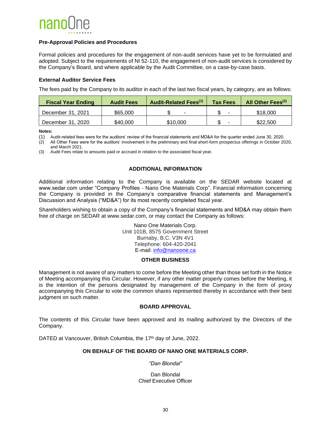

#### **Pre-Approval Policies and Procedures**

Formal policies and procedures for the engagement of non-audit services have yet to be formulated and adopted. Subject to the requirements of NI 52-110, the engagement of non-audit services is considered by the Company's Board, and where applicable by the Audit Committee, on a case-by-case basis.

#### **External Auditor Service Fees**

The fees paid by the Company to its auditor in each of the last two fiscal years, by category, are as follows:

| <b>Fiscal Year Ending</b> | <b>Audit Fees</b> | <b>Audit-Related Fees(1)</b> | <b>Tax Fees</b> | All Other Fees <sup>(2)</sup> |
|---------------------------|-------------------|------------------------------|-----------------|-------------------------------|
| December 31, 2021         | \$65,000          |                              | -               | \$18,000                      |
| December 31, 2020         | \$40,000          | \$10,000                     |                 | \$22,500                      |

**Notes:**

(1) Audit-related fees were for the auditors' review of the financial statements and MD&A for the quarter ended June 30, 2020.

(2) All Other Fees were for the auditors' involvement in the preliminary and final short-form prospectus offerings in October 2020, and March 2021.

<span id="page-34-0"></span>(3) Audit Fees relate to amounts paid or accrued in relation to the associated fiscal year.

#### **ADDITIONAL INFORMATION**

Additional information relating to the Company is available on the SEDAR website located at www.sedar.com under "Company Profiles - Nano One Materials Corp". Financial information concerning the Company is provided in the Company's comparative financial statements and Management's Discussion and Analysis ("MD&A") for its most recently completed fiscal year.

Shareholders wishing to obtain a copy of the Company's financial statements and MD&A may obtain them free of charge on SEDAR at www.sedar.com, or may contact the Company as follows:

> Nano One Materials Corp. Unit 101B, 8575 Government Street Burnaby, B.C. V3N 4V1 Telephone: 604-420-2041 E-mail: [info@nanoone.ca](mailto:dan.martino@nanoone.ca)

#### **OTHER BUSINESS**

<span id="page-34-1"></span>Management is not aware of any matters to come before the Meeting other than those set forth in the Notice of Meeting accompanying this Circular. However, if any other matter properly comes before the Meeting, it is the intention of the persons designated by management of the Company in the form of proxy accompanying this Circular to vote the common shares represented thereby in accordance with their best judgment on such matter.

#### **BOARD APPROVAL**

<span id="page-34-2"></span>The contents of this Circular have been approved and its mailing authorized by the Directors of the Company.

DATED at Vancouver, British Columbia, the 17<sup>th</sup> day of June, 2022.

#### **ON BEHALF OF THE BOARD OF NANO ONE MATERIALS CORP.**

*"Dan Blondal"*

Dan Blondal Chief Executive Officer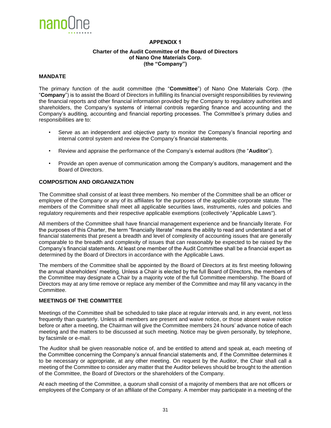<span id="page-35-0"></span>

#### **APPENDIX 1**

#### **Charter of the Audit Committee of the Board of Directors of Nano One Materials Corp. (the "Company")**

#### **MANDATE**

The primary function of the audit committee (the "**Committee**") of Nano One Materials Corp. (the "**Company**") is to assist the Board of Directors in fulfilling its financial oversight responsibilities by reviewing the financial reports and other financial information provided by the Company to regulatory authorities and shareholders, the Company's systems of internal controls regarding finance and accounting and the Company's auditing, accounting and financial reporting processes. The Committee's primary duties and responsibilities are to:

- Serve as an independent and objective party to monitor the Company's financial reporting and internal control system and review the Company's financial statements.
- Review and appraise the performance of the Company's external auditors (the "**Auditor**").
- Provide an open avenue of communication among the Company's auditors, management and the Board of Directors.

#### **COMPOSITION AND ORGANIZATION**

The Committee shall consist of at least three members. No member of the Committee shall be an officer or employee of the Company or any of its affiliates for the purposes of the applicable corporate statute. The members of the Committee shall meet all applicable securities laws, instruments, rules and policies and regulatory requirements and their respective applicable exemptions (collectively "Applicable Laws").

All members of the Committee shall have financial management experience and be financially literate. For the purposes of this Charter, the term "financially literate" means the ability to read and understand a set of financial statements that present a breadth and level of complexity of accounting issues that are generally comparable to the breadth and complexity of issues that can reasonably be expected to be raised by the Company's financial statements. At least one member of the Audit Committee shall be a financial expert as determined by the Board of Directors in accordance with the Applicable Laws.

The members of the Committee shall be appointed by the Board of Directors at its first meeting following the annual shareholders' meeting. Unless a Chair is elected by the full Board of Directors, the members of the Committee may designate a Chair by a majority vote of the full Committee membership. The Board of Directors may at any time remove or replace any member of the Committee and may fill any vacancy in the Committee.

#### **MEETINGS OF THE COMMITTEE**

Meetings of the Committee shall be scheduled to take place at regular intervals and, in any event, not less frequently than quarterly. Unless all members are present and waive notice, or those absent waive notice before or after a meeting, the Chairman will give the Committee members 24 hours' advance notice of each meeting and the matters to be discussed at such meeting. Notice may be given personally, by telephone, by facsimile or e-mail.

The Auditor shall be given reasonable notice of, and be entitled to attend and speak at, each meeting of the Committee concerning the Company's annual financial statements and, if the Committee determines it to be necessary or appropriate, at any other meeting. On request by the Auditor, the Chair shall call a meeting of the Committee to consider any matter that the Auditor believes should be brought to the attention of the Committee, the Board of Directors or the shareholders of the Company.

At each meeting of the Committee, a quorum shall consist of a majority of members that are not officers or employees of the Company or of an affiliate of the Company. A member may participate in a meeting of the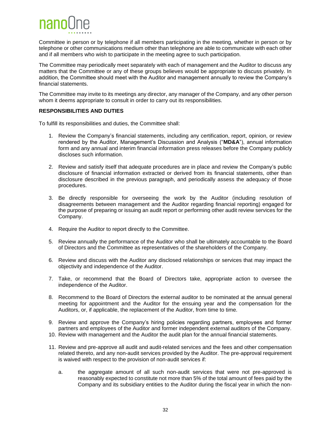

Committee in person or by telephone if all members participating in the meeting, whether in person or by telephone or other communications medium other than telephone are able to communicate with each other and if all members who wish to participate in the meeting agree to such participation.

The Committee may periodically meet separately with each of management and the Auditor to discuss any matters that the Committee or any of these groups believes would be appropriate to discuss privately. In addition, the Committee should meet with the Auditor and management annually to review the Company's financial statements.

The Committee may invite to its meetings any director, any manager of the Company, and any other person whom it deems appropriate to consult in order to carry out its responsibilities.

#### **RESPONSIBILITIES AND DUTIES**

To fulfill its responsibilities and duties, the Committee shall:

- 1. Review the Company's financial statements, including any certification, report, opinion, or review rendered by the Auditor, Management's Discussion and Analysis ("**MD&A**"), annual information form and any annual and interim financial information press releases before the Company publicly discloses such information.
- 2. Review and satisfy itself that adequate procedures are in place and review the Company's public disclosure of financial information extracted or derived from its financial statements, other than disclosure described in the previous paragraph, and periodically assess the adequacy of those procedures.
- 3. Be directly responsible for overseeing the work by the Auditor (including resolution of disagreements between management and the Auditor regarding financial reporting) engaged for the purpose of preparing or issuing an audit report or performing other audit review services for the Company.
- 4. Require the Auditor to report directly to the Committee.
- 5. Review annually the performance of the Auditor who shall be ultimately accountable to the Board of Directors and the Committee as representatives of the shareholders of the Company.
- 6. Review and discuss with the Auditor any disclosed relationships or services that may impact the objectivity and independence of the Auditor.
- 7. Take, or recommend that the Board of Directors take, appropriate action to oversee the independence of the Auditor.
- 8. Recommend to the Board of Directors the external auditor to be nominated at the annual general meeting for appointment and the Auditor for the ensuing year and the compensation for the Auditors, or, if applicable, the replacement of the Auditor, from time to time.
- 9. Review and approve the Company's hiring policies regarding partners, employees and former partners and employees of the Auditor and former independent external auditors of the Company.
- 10. Review with management and the Auditor the audit plan for the annual financial statements.
- 11. Review and pre-approve all audit and audit-related services and the fees and other compensation related thereto, and any non-audit services provided by the Auditor. The pre-approval requirement is waived with respect to the provision of non-audit services if:
	- a. the aggregate amount of all such non-audit services that were not pre-approved is reasonably expected to constitute not more than 5% of the total amount of fees paid by the Company and its subsidiary entities to the Auditor during the fiscal year in which the non-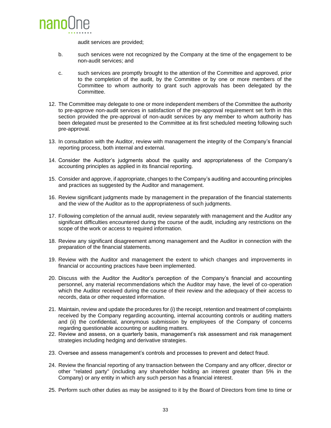

audit services are provided;

- b. such services were not recognized by the Company at the time of the engagement to be non-audit services; and
- c. such services are promptly brought to the attention of the Committee and approved, prior to the completion of the audit, by the Committee or by one or more members of the Committee to whom authority to grant such approvals has been delegated by the Committee.
- 12. The Committee may delegate to one or more independent members of the Committee the authority to pre-approve non-audit services in satisfaction of the pre-approval requirement set forth in this section provided the pre-approval of non-audit services by any member to whom authority has been delegated must be presented to the Committee at its first scheduled meeting following such pre-approval.
- 13. In consultation with the Auditor, review with management the integrity of the Company's financial reporting process, both internal and external.
- 14. Consider the Auditor's judgments about the quality and appropriateness of the Company's accounting principles as applied in its financial reporting.
- 15. Consider and approve, if appropriate, changes to the Company's auditing and accounting principles and practices as suggested by the Auditor and management.
- 16. Review significant judgments made by management in the preparation of the financial statements and the view of the Auditor as to the appropriateness of such judgments.
- 17. Following completion of the annual audit, review separately with management and the Auditor any significant difficulties encountered during the course of the audit, including any restrictions on the scope of the work or access to required information.
- 18. Review any significant disagreement among management and the Auditor in connection with the preparation of the financial statements.
- 19. Review with the Auditor and management the extent to which changes and improvements in financial or accounting practices have been implemented.
- 20. Discuss with the Auditor the Auditor's perception of the Company's financial and accounting personnel, any material recommendations which the Auditor may have, the level of co-operation which the Auditor received during the course of their review and the adequacy of their access to records, data or other requested information.
- 21. Maintain, review and update the procedures for (i) the receipt, retention and treatment of complaints received by the Company regarding accounting, internal accounting controls or auditing matters and (ii) the confidential, anonymous submission by employees of the Company of concerns regarding questionable accounting or auditing matters.
- 22. Review and assess, on a quarterly basis, management's risk assessment and risk management strategies including hedging and derivative strategies.
- 23. Oversee and assess management's controls and processes to prevent and detect fraud.
- 24. Review the financial reporting of any transaction between the Company and any officer, director or other "related party" (including any shareholder holding an interest greater than 5% in the Company) or any entity in which any such person has a financial interest.
- 25. Perform such other duties as may be assigned to it by the Board of Directors from time to time or